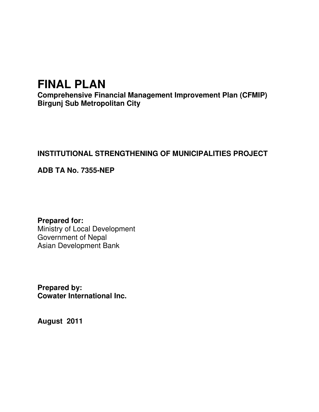# **FINAL PLAN**

**Comprehensive Financial Management Improvement Plan (CFMIP) Birgunj Sub Metropolitan City** 

## **INSTITUTIONAL STRENGTHENING OF MUNICIPALITIES PROJECT**

## **ADB TA No. 7355-NEP**

**Prepared for:**  Ministry of Local Development Government of Nepal Asian Development Bank

**Prepared by: Cowater International Inc.** 

**August 2011**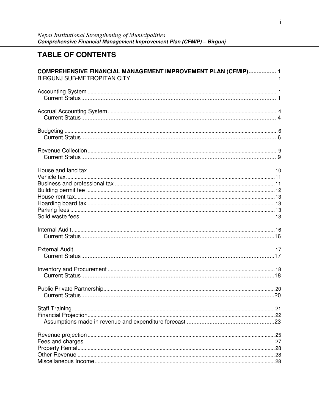## **TABLE OF CONTENTS**

| COMPREHENSIVE FINANCIAL MANAGEMENT IMPROVEMENT PLAN (CFMIP) 1 |  |
|---------------------------------------------------------------|--|
|                                                               |  |
|                                                               |  |
|                                                               |  |
|                                                               |  |
|                                                               |  |
|                                                               |  |
|                                                               |  |
|                                                               |  |
|                                                               |  |
|                                                               |  |
|                                                               |  |
|                                                               |  |
|                                                               |  |
|                                                               |  |
|                                                               |  |
|                                                               |  |
|                                                               |  |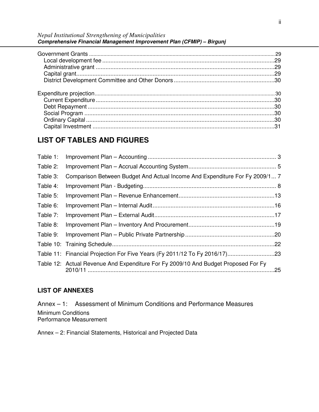*Nepal Institutional Strengthening of Municipalities* **Comprehensive Financial Management Improvement Plan (CFMIP) – Birgunj** 

| .29<br>.29<br>.29 |
|-------------------|
|                   |
| .30               |
|                   |
|                   |

## **LIST OF TABLES AND FIGURES**

| Table 1: |                                                                                    |     |
|----------|------------------------------------------------------------------------------------|-----|
| Table 2: |                                                                                    |     |
| Table 3: | Comparison Between Budget And Actual Income And Expenditure For Fy 2009/1 7        |     |
| Table 4: |                                                                                    |     |
| Table 5: |                                                                                    |     |
| Table 6: |                                                                                    |     |
| Table 7: |                                                                                    |     |
| Table 8: |                                                                                    |     |
| Table 9: |                                                                                    |     |
|          |                                                                                    |     |
|          |                                                                                    |     |
|          | Table 12: Actual Revenue And Expenditure For Fy 2009/10 And Budget Proposed For Fy | .25 |

## **LIST OF ANNEXES**

Annex – 1: Assessment of Minimum Conditions and Performance Measures Minimum Conditions Performance Measurement

Annex – 2: Financial Statements, Historical and Projected Data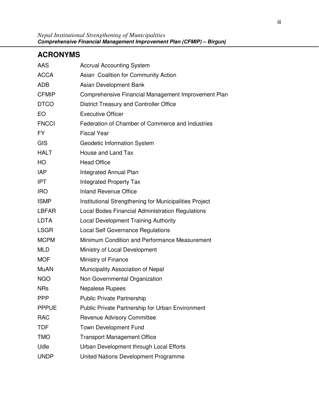iii

## **ACRONYMS**

| AAS          | <b>Accrual Accounting System</b>                        |
|--------------|---------------------------------------------------------|
| <b>ACCA</b>  | Asian Coalition for Community Action                    |
| <b>ADB</b>   | Asian Development Bank                                  |
| <b>CFMIP</b> | Comprehensive Financial Management Improvement Plan     |
| <b>DTCO</b>  | <b>District Treasury and Controller Office</b>          |
| EO           | <b>Executive Officer</b>                                |
| <b>FNCCI</b> | Federation of Chamber of Commerce and Industries        |
| <b>FY</b>    | <b>Fiscal Year</b>                                      |
| GIS          | Geodetic Information System                             |
| <b>HALT</b>  | House and Land Tax                                      |
| HO           | <b>Head Office</b>                                      |
| <b>IAP</b>   | Integrated Annual Plan                                  |
| <b>IPT</b>   | <b>Integrated Property Tax</b>                          |
| <b>IRO</b>   | <b>Inland Revenue Office</b>                            |
| <b>ISMP</b>  | Institutional Strengthening for Municipalities Project  |
| <b>LBFAR</b> | Local Bodes Financial Administration Regulations        |
| <b>LDTA</b>  | Local Development Training Authority                    |
| <b>LSGR</b>  | <b>Local Self Governance Regulations</b>                |
| <b>MCPM</b>  | Minimum Condition and Performance Measurement           |
| <b>MLD</b>   | Ministry of Local Development                           |
| <b>MOF</b>   | Ministry of Finance                                     |
| <b>MuAN</b>  | Municipality Association of Nepal                       |
| <b>NGO</b>   | Non Governmental Organization                           |
| <b>NRs</b>   | <b>Nepalese Rupees</b>                                  |
| <b>PPP</b>   | <b>Public Private Partnership</b>                       |
| <b>PPPUE</b> | <b>Public Private Partnership for Urban Environment</b> |
| <b>RAC</b>   | <b>Revenue Advisory Committee</b>                       |
| <b>TDF</b>   | Town Development Fund                                   |
| <b>TMO</b>   | <b>Transport Management Office</b>                      |
| Udle         | Urban Development through Local Efforts                 |
| <b>UNDP</b>  | United Nations Development Programme                    |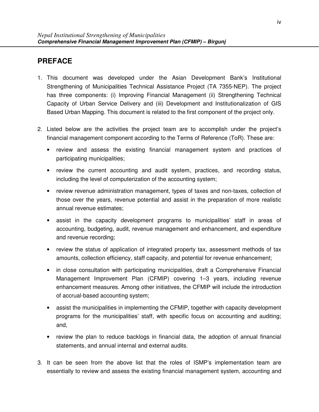## **PREFACE**

- 1. This document was developed under the Asian Development Bank's Institutional Strengthening of Municipalities Technical Assistance Project (TA 7355-NEP). The project has three components: (i) Improving Financial Management (ii) Strengthening Technical Capacity of Urban Service Delivery and (iii) Development and Institutionalization of GIS Based Urban Mapping. This document is related to the first component of the project only.
- 2. Listed below are the activities the project team are to accomplish under the project's financial management component according to the Terms of Reference (ToR). These are:
	- review and assess the existing financial management system and practices of participating municipalities;
	- review the current accounting and audit system, practices, and recording status, including the level of computerization of the accounting system;
	- review revenue administration management, types of taxes and non-taxes, collection of those over the years, revenue potential and assist in the preparation of more realistic annual revenue estimates;
	- assist in the capacity development programs to municipalities' staff in areas of accounting, budgeting, audit, revenue management and enhancement, and expenditure and revenue recording;
	- review the status of application of integrated property tax, assessment methods of tax amounts, collection efficiency, staff capacity, and potential for revenue enhancement;
	- in close consultation with participating municipalities, draft a Comprehensive Financial Management Improvement Plan (CFMIP) covering 1–3 years, including revenue enhancement measures. Among other initiatives, the CFMIP will include the introduction of accrual-based accounting system;
	- assist the municipalities in implementing the CFMIP, together with capacity development programs for the municipalities' staff, with specific focus on accounting and auditing; and,
	- review the plan to reduce backlogs in financial data, the adoption of annual financial statements, and annual internal and external audits.
- 3. It can be seen from the above list that the roles of ISMP's implementation team are essentially to review and assess the existing financial management system, accounting and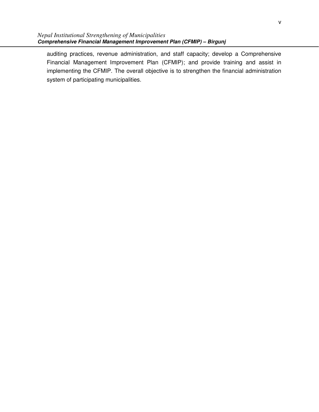auditing practices, revenue administration, and staff capacity; develop a Comprehensive Financial Management Improvement Plan (CFMIP); and provide training and assist in implementing the CFMIP. The overall objective is to strengthen the financial administration system of participating municipalities.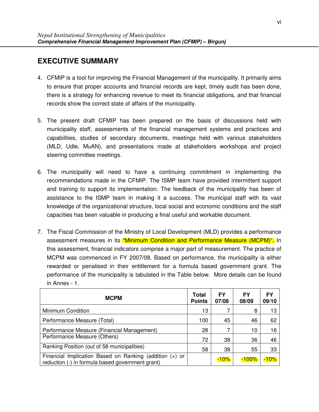## **EXECUTIVE SUMMARY**

- 4. CFMIP is a tool for improving the Financial Management of the municipality. It primarily aims to ensure that proper accounts and financial records are kept, timely audit has been done, there is a strategy for enhancing revenue to meet its financial obligations, and that financial records show the correct state of affairs of the municipality.
- 5. The present draft CFMIP has been prepared on the basis of discussions held with municipality staff, assessments of the financial management systems and practices and capabilities, studies of secondary documents, meetings held with various stakeholders (MLD, Udle, MuAN), and presentations made at stakeholders workshops and project steering committee meetings.
- 6. The municipality will need to have a continuing commitment in implementing the recommendations made in the CFMIP. The ISMP team have provided intermittent support and training to support its implementation. The feedback of the municipality has been of assistance to the ISMP team in making it a success. The municipal staff with its vast knowledge of the organizational structure, local social and economic conditions and the staff capacities has been valuable in producing a final useful and workable document.
- 7. The Fiscal Commission of the Ministry of Local Development (MLD) provides a performance assessment measures in its "Minimum Condition and Performance Measure (MCPM)". In this assessment, financial indicators comprise a major part of measurement. The practice of MCPM was commenced in FY 2007/08. Based on performance, the municipality is either rewarded or penalised in their entitlement for a formula based government grant. The performance of the municipality is tabulated in the Table below. More details can be found in Annex - 1.

| <b>MCPM</b>                                                                                                 | Total<br><b>Points</b> | FΥ<br>07/08 | FΥ<br>08/09 | FΥ<br>09/10 |
|-------------------------------------------------------------------------------------------------------------|------------------------|-------------|-------------|-------------|
| Minimum Condition                                                                                           | 13                     |             | 8           | 13          |
| Performance Measure (Total)                                                                                 | 100                    | 45          | 46          | 62          |
| Performance Measure (Financial Management)                                                                  | 28                     |             | 10          | 16          |
| Performance Measure (Others)                                                                                | 72                     | 38          | 36          | 46          |
| Ranking Position (out of 58 municipalities)                                                                 | 58                     | 38          | 55          | 33          |
| Financial Implication Based on Ranking (addition (+) or<br>reduction (-) in formula based government grant) |                        | $-10%$      | $-100\%$    | $-10%$      |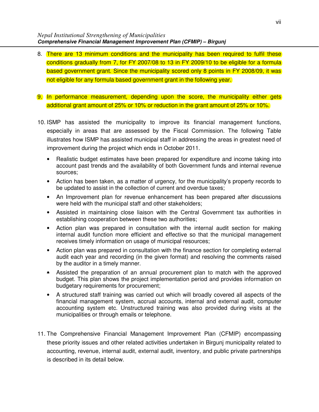- 8. There are 13 minimum conditions and the municipality has been required to fulfil these conditions gradually from 7, for FY 2007/08 to 13 in FY 2009/10 to be eligible for a formula based government grant. Since the municipality scored only 8 points in FY 2008/09, it was not eligible for any formula based government grant in the following year.
- 9. In performance measurement, depending upon the score, the municipality either gets additional grant amount of 25% or 10% or reduction in the grant amount of 25% or 10%.
- 10. ISMP has assisted the municipality to improve its financial management functions, especially in areas that are assessed by the Fiscal Commission. The following Table illustrates how ISMP has assisted municipal staff in addressing the areas in greatest need of improvement during the project which ends in October 2011.
	- Realistic budget estimates have been prepared for expenditure and income taking into account past trends and the availability of both Government funds and internal revenue sources;
	- Action has been taken, as a matter of urgency, for the municipality's property records to be updated to assist in the collection of current and overdue taxes;
	- An Improvement plan for revenue enhancement has been prepared after discussions were held with the municipal staff and other stakeholders;
	- Assisted in maintaining close liaison with the Central Government tax authorities in establishing cooperation between these two authorities;
	- Action plan was prepared in consultation with the internal audit section for making internal audit function more efficient and effective so that the municipal management receives timely information on usage of municipal resources;
	- Action plan was prepared in consultation with the finance section for completing external audit each year and recording (in the given format) and resolving the comments raised by the auditor in a timely manner.
	- Assisted the preparation of an annual procurement plan to match with the approved budget. This plan shows the project implementation period and provides information on budgetary requirements for procurement;
	- A structured staff training was carried out which will broadly covered all aspects of the financial management system, accrual accounts, internal and external audit, computer accounting system etc. Unstructured training was also provided during visits at the municipalities or through emails or telephone.
- 11. The Comprehensive Financial Management Improvement Plan (CFMIP) encompassing these priority issues and other related activities undertaken in Birgunj municipality related to accounting, revenue, internal audit, external audit, inventory, and public private partnerships is described in its detail below.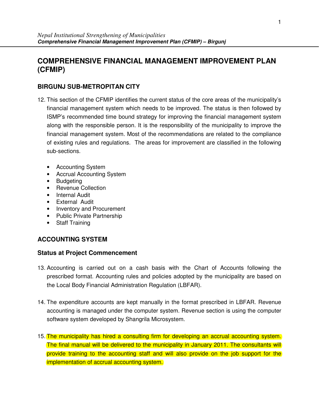## **COMPREHENSIVE FINANCIAL MANAGEMENT IMPROVEMENT PLAN (CFMIP)**

## **BIRGUNJ SUB-METROPITAN CITY**

- 12. This section of the CFMIP identifies the current status of the core areas of the municipality's financial management system which needs to be improved. The status is then followed by ISMP's recommended time bound strategy for improving the financial management system along with the responsible person. It is the responsibility of the municipality to improve the financial management system. Most of the recommendations are related to the compliance of existing rules and regulations. The areas for improvement are classified in the following sub-sections.
	- Accounting System
	- Accrual Accounting System
	- Budgeting
	- Revenue Collection
	- Internal Audit
	- External Audit
	- Inventory and Procurement
	- Public Private Partnership
	- Staff Training

## **ACCOUNTING SYSTEM**

- 13. Accounting is carried out on a cash basis with the Chart of Accounts following the prescribed format. Accounting rules and policies adopted by the municipality are based on the Local Body Financial Administration Regulation (LBFAR).
- 14. The expenditure accounts are kept manually in the format prescribed in LBFAR. Revenue accounting is managed under the computer system. Revenue section is using the computer software system developed by Shangrila Microsystem.
- 15. The municipality has hired a consulting firm for developing an accrual accounting system. The final manual will be delivered to the municipality in January 2011. The consultants will provide training to the accounting staff and will also provide on the job support for the implementation of accrual accounting system.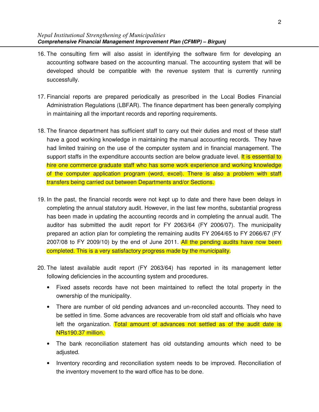- 16. The consulting firm will also assist in identifying the software firm for developing an accounting software based on the accounting manual. The accounting system that will be developed should be compatible with the revenue system that is currently running successfully.
- 17. Financial reports are prepared periodically as prescribed in the Local Bodies Financial Administration Regulations (LBFAR). The finance department has been generally complying in maintaining all the important records and reporting requirements.
- 18. The finance department has sufficient staff to carry out their duties and most of these staff have a good working knowledge in maintaining the manual accounting records. They have had limited training on the use of the computer system and in financial management. The support staffs in the expenditure accounts section are below graduate level. It is essential to hire one commerce graduate staff who has some work experience and working knowledge of the computer application program (word, excel). There is also a problem with staff transfers being carried out between Departments and/or Sections.
- 19. In the past, the financial records were not kept up to date and there have been delays in completing the annual statutory audit. However, in the last few months, substantial progress has been made in updating the accounting records and in completing the annual audit. The auditor has submitted the audit report for FY 2063/64 (FY 2006/07). The municipality prepared an action plan for completing the remaining audits FY 2064/65 to FY 2066/67 (FY 2007/08 to FY 2009/10) by the end of June 2011. All the pending audits have now been completed. This is a very satisfactory progress made by the municipality.
- 20. The latest available audit report (FY 2063/64) has reported in its management letter following deficiencies in the accounting system and procedures.
	- Fixed assets records have not been maintained to reflect the total property in the ownership of the municipality.
	- There are number of old pending advances and un-reconciled accounts. They need to be settled in time. Some advances are recoverable from old staff and officials who have left the organization. Total amount of advances not settled as of the audit date is NRs190.37 million.
	- The bank reconciliation statement has old outstanding amounts which need to be adjusted.
	- Inventory recording and reconciliation system needs to be improved. Reconciliation of the inventory movement to the ward office has to be done.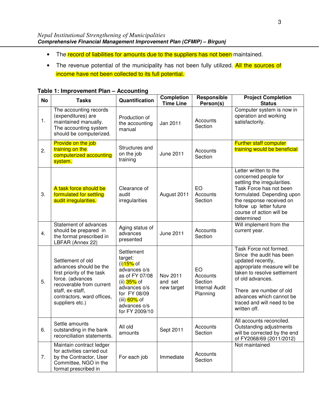- The record of liabilities for amounts due to the suppliers has not been maintained.
- The revenue potential of the municipality has not been fully utilized. All the sources of income have not been collected to its full potential.

| <b>No</b> | <b>Tasks</b>                                                                                                                                                                                   | Quantification                                                                                                                                                        | <b>Completion</b><br><b>Time Line</b> | Responsible<br>Person(s)                                       | <b>Project Completion</b><br><b>Status</b>                                                                                                                                                                                                                     |
|-----------|------------------------------------------------------------------------------------------------------------------------------------------------------------------------------------------------|-----------------------------------------------------------------------------------------------------------------------------------------------------------------------|---------------------------------------|----------------------------------------------------------------|----------------------------------------------------------------------------------------------------------------------------------------------------------------------------------------------------------------------------------------------------------------|
| 1.        | The accounting records<br>(expenditures) are<br>maintained manually.<br>The accounting system<br>should be computerized.                                                                       | Production of<br>the accounting<br>manual                                                                                                                             | Jan 2011                              | Accounts<br>Section                                            | Computer system is now in<br>operation and working<br>satisfactorily.                                                                                                                                                                                          |
| 2.        | Provide on the job<br>training on the<br>computerized accounting<br>system.                                                                                                                    | Structures and<br>on the job<br>training                                                                                                                              | <b>June 2011</b>                      | Accounts<br>Section                                            | <b>Further staff computer</b><br>training would be beneficial                                                                                                                                                                                                  |
| 3.        | A task force should be<br>formulated for settling<br>audit irregularities.                                                                                                                     | Clearance of<br>audit<br>irregularities                                                                                                                               | August 2011                           | EO<br>Accounts<br>Section                                      | Letter written to the<br>concerned people for<br>settling the irregularities.<br>Task Force has not been<br>formulated. Depending upon<br>the response received on<br>follow up letter future<br>course of action will be<br>determined                        |
| 4.        | Statement of advances<br>should be prepared in<br>the format prescribed in<br>LBFAR (Annex 22)                                                                                                 | Aging status of<br>advances<br>presented                                                                                                                              | <b>June 2011</b>                      | Accounts<br>Section                                            | Will implement from the<br>current year.                                                                                                                                                                                                                       |
| 5.        | Settlement of old<br>advances should be the<br>first priority of the task<br>force. (advances<br>recoverable from current<br>staff, ex-staff,<br>contractors, ward offices,<br>suppliers etc.) | Settlement<br>target:<br>(i)15% of<br>advances o/s<br>as of FY 07/08<br>(ii) 35% of<br>advances o/s<br>for FY 08/09<br>(iii) 60% of<br>advances o/s<br>for FY 2009/10 | Nov 2011<br>and set<br>new target     | EO<br>Accounts<br>Section<br><b>Internal Audit</b><br>Planning | Task Force not formed.<br>Since the audit has been<br>updated recently,<br>appropriate measure will be<br>taken to resolve settlement<br>of old advances.<br>There are number of old<br>advances which cannot be<br>traced and will need to be<br>written off. |
| 6.        | Settle amounts<br>outstanding in the bank<br>reconciliation statements.                                                                                                                        | All old<br>amounts                                                                                                                                                    | Sept 2011                             | Accounts<br>Section                                            | All accounts reconciled.<br>Outstanding adjustments<br>will be corrected by the end<br>of FY2068/69 (2011/2012)                                                                                                                                                |
| 7.        | Maintain contract ledger<br>for activities carried out<br>by the Contractor, User<br>Committee, NGO in the<br>format prescribed in                                                             | For each job                                                                                                                                                          | Immediate                             | Accounts<br>Section                                            | Not maintained                                                                                                                                                                                                                                                 |

### **Table 1: Improvement Plan – Accounting**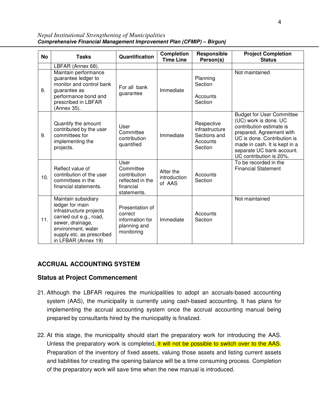*Nepal Institutional Strengthening of Municipalities* **Comprehensive Financial Management Improvement Plan (CFMIP) – Birgunj** 

| <b>No</b> | <b>Tasks</b>                                                                                                                                                                               | Quantification                                                                    | <b>Completion</b><br><b>Time Line</b> | Responsible<br>Person(s)                                            | <b>Project Completion</b><br><b>Status</b>                                                                                                                                                                                                |
|-----------|--------------------------------------------------------------------------------------------------------------------------------------------------------------------------------------------|-----------------------------------------------------------------------------------|---------------------------------------|---------------------------------------------------------------------|-------------------------------------------------------------------------------------------------------------------------------------------------------------------------------------------------------------------------------------------|
|           | LBFAR (Annex 68).                                                                                                                                                                          |                                                                                   |                                       |                                                                     |                                                                                                                                                                                                                                           |
| 8.        | Maintain performance<br>guarantee ledger to<br>monitor and control bank<br>guarantee as<br>performance bond and<br>prescribed in LBFAR<br>(Annex 35).                                      | For all bank<br>guarantee                                                         | Immediate                             | Planning<br>Section<br>Accounts<br>Section                          | Not maintained                                                                                                                                                                                                                            |
| 9.        | Quantify the amount<br>contributed by the user<br>committees for<br>implementing the<br>projects.                                                                                          | User<br>Committee<br>contribution<br>quantified                                   | Immediate                             | Respective<br>infrastructure<br>Sections and<br>Accounts<br>Section | <b>Budget for User Committee</b><br>(UC) work is done. UC<br>contribution estimate is<br>prepared. Agreement with<br>UC is done. Contribution is<br>made in cash. It is kept in a<br>separate UC bank account.<br>UC contribution is 20%. |
| 10.       | Reflect value of<br>contribution of the user<br>committees in the<br>financial statements.                                                                                                 | User<br>Committee<br>contribution<br>reflected in the<br>financial<br>statements. | After the<br>introduction<br>of AAS   | Accounts<br>Section                                                 | To be recorded in the<br><b>Financial Statement</b>                                                                                                                                                                                       |
| 11.       | Maintain subsidiary<br>ledger for main<br>infrastructure projects<br>carried out e.g., road,<br>sewer, drainage,<br>environment, water<br>supply etc. as prescribed<br>in LFBAR (Annex 19) | Presentation of<br>correct<br>information for<br>planning and<br>monitoring       | Immediate                             | Accounts<br>Section                                                 | Not maintained                                                                                                                                                                                                                            |

## **ACCRUAL ACCOUNTING SYSTEM**

- 21. Although the LBFAR requires the municipalities to adopt an accruals-based accounting system (AAS), the municipality is currently using cash-based accounting. It has plans for implementing the accrual accounting system once the accrual accounting manual being prepared by consultants hired by the municipality is finalized.
- 22. At this stage, the municipality should start the preparatory work for introducing the AAS. Unless the preparatory work is completed, it will not be possible to switch over to the AAS. Preparation of the inventory of fixed assets, valuing those assets and listing current assets and liabilities for creating the opening balance will be a time consuming process. Completion of the preparatory work will save time when the new manual is introduced.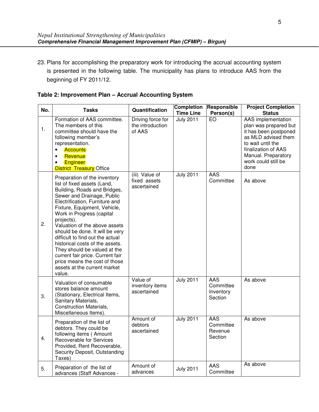23. Plans for accomplishing the preparatory work for introducing the accrual accounting system is presented in the following table. The municipality has plans to introduce AAS from the beginning of FY 2011/12.

|  | Table 2: Improvement Plan - Accrual Accounting System |  |  |  |
|--|-------------------------------------------------------|--|--|--|
|--|-------------------------------------------------------|--|--|--|

| No. | <b>Tasks</b>                                                                                                                                                                                                                                                                                                                                                                                                                                                                                                                     | Quantification                                  | <b>Completion</b><br><b>Time Line</b> | Responsible<br>Person(s)                 | <b>Project Completion</b><br><b>Status</b>                                                                                                                                                    |
|-----|----------------------------------------------------------------------------------------------------------------------------------------------------------------------------------------------------------------------------------------------------------------------------------------------------------------------------------------------------------------------------------------------------------------------------------------------------------------------------------------------------------------------------------|-------------------------------------------------|---------------------------------------|------------------------------------------|-----------------------------------------------------------------------------------------------------------------------------------------------------------------------------------------------|
| 1.  | Formation of AAS committee.<br>The members of this<br>committee should have the<br>following member's<br>representation.<br><b>Accounts</b><br>Revenue<br>$\bullet$<br><b>Engineer</b><br><b>District Treasury Office</b>                                                                                                                                                                                                                                                                                                        | Driving force for<br>the introduction<br>of AAS | <b>July 2011</b>                      | EO                                       | AAS implementation<br>plan was prepared but<br>it has been postponed<br>as MLD advised them<br>to wait until the<br>finalization of AAS<br>Manual. Preparatory<br>work could still be<br>done |
| 2.  | Preparation of the inventory<br>list of fixed assets (Land,<br>Building, Roads and Bridges,<br>Sewer and Drainage, Public<br>Electrification, Furniture and<br>Fixture, Equipment, Vehicle,<br>Work in Progress (capital<br>projects).<br>Valuation of the above assets<br>should be done. It will be very<br>difficult to find out the actual<br>historical costs of the assets.<br>They should be valued at the<br>current fair price. Current fair<br>price means the cost of those<br>assets at the current market<br>value. | (iii) Value of<br>fixed assets<br>ascertained   | <b>July 2011</b>                      | AAS<br>Committee                         | As above                                                                                                                                                                                      |
| 3.  | Valuation of consumable<br>stores balance amount<br>(Stationary, Electrical Items,<br>Sanitary Materials,<br><b>Construction Materials,</b><br>Miscellaneous Items).                                                                                                                                                                                                                                                                                                                                                             | Value of<br>inventory items<br>ascertained      | <b>July 2011</b>                      | AAS<br>Committee<br>Inventory<br>Section | As above                                                                                                                                                                                      |
| 4.  | Preparation of the list of<br>debtors. They could be<br>following items (Amount<br>Recoverable for Services<br>Provided, Rent Recoverable,<br>Security Deposit, Outstanding<br>Taxes)                                                                                                                                                                                                                                                                                                                                            | Amount of<br>debtors<br>ascertained             | <b>July 2011</b>                      | AAS<br>Committee<br>Revenue<br>Section   | As above                                                                                                                                                                                      |
| 5.  | Preparation of the list of<br>advances (Staff Advances -                                                                                                                                                                                                                                                                                                                                                                                                                                                                         | Amount of<br>advances                           | <b>July 2011</b>                      | AAS<br>Committee                         | As above                                                                                                                                                                                      |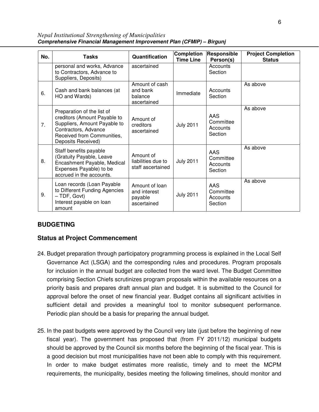| No. | <b>Tasks</b>                                                                                                                                                           | Quantification                                           | <b>Completion</b><br><b>Time Line</b> | Responsible<br>Person(s)                | <b>Project Completion</b><br><b>Status</b> |
|-----|------------------------------------------------------------------------------------------------------------------------------------------------------------------------|----------------------------------------------------------|---------------------------------------|-----------------------------------------|--------------------------------------------|
|     | personal and works, Advance<br>to Contractors, Advance to<br>Suppliers, Deposits)                                                                                      | ascertained                                              |                                       | Accounts<br>Section                     |                                            |
| 6.  | Cash and bank balances (at<br>HO and Wards)                                                                                                                            | Amount of cash<br>and bank<br>balance<br>ascertained     | Immediate                             | Accounts<br>Section                     | As above                                   |
| 7.  | Preparation of the list of<br>creditors (Amount Payable to<br>Suppliers, Amount Payable to<br>Contractors, Advance<br>Received from Communities,<br>Deposits Received) | Amount of<br>creditors<br>ascertained                    | <b>July 2011</b>                      | AAS<br>Committee<br>Accounts<br>Section | As above                                   |
| 8.  | Staff benefits payable<br>(Gratuity Payable, Leave<br>Encashment Payable, Medical<br>Expenses Payable) to be<br>accrued in the accounts.                               | Amount of<br>liabilities due to<br>staff ascertained     | <b>July 2011</b>                      | AAS<br>Committee<br>Accounts<br>Section | As above                                   |
| 9.  | Loan records (Loan Payable<br>to Different Funding Agencies<br>$-$ TDF, Govt)<br>Interest payable on loan<br>amount                                                    | Amount of loan<br>and interest<br>payable<br>ascertained | <b>July 2011</b>                      | AAS<br>Committee<br>Accounts<br>Section | As above                                   |

*Nepal Institutional Strengthening of Municipalities* **Comprehensive Financial Management Improvement Plan (CFMIP) – Birgunj** 

## **BUDGETING**

- 24. Budget preparation through participatory programming process is explained in the Local Self Governance Act (LSGA) and the corresponding rules and procedures. Program proposals for inclusion in the annual budget are collected from the ward level. The Budget Committee comprising Section Chiefs scrutinizes program proposals within the available resources on a priority basis and prepares draft annual plan and budget. It is submitted to the Council for approval before the onset of new financial year. Budget contains all significant activities in sufficient detail and provides a meaningful tool to monitor subsequent performance. Periodic plan should be a basis for preparing the annual budget.
- 25. In the past budgets were approved by the Council very late (just before the beginning of new fiscal year). The government has proposed that (from FY 2011/12) municipal budgets should be approved by the Council six months before the beginning of the fiscal year. This is a good decision but most municipalities have not been able to comply with this requirement. In order to make budget estimates more realistic, timely and to meet the MCPM requirements, the municipality, besides meeting the following timelines, should monitor and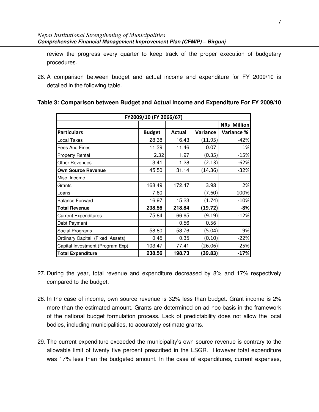review the progress every quarter to keep track of the proper execution of budgetary procedures.

26. A comparison between budget and actual income and expenditure for FY 2009/10 is detailed in the following table.

| FY2009/10 (FY 2066/67)           |               |               |          |                    |  |  |
|----------------------------------|---------------|---------------|----------|--------------------|--|--|
|                                  |               |               |          | <b>NRs Million</b> |  |  |
| <b>Particulars</b>               | <b>Budget</b> | <b>Actual</b> | Variance | Variance %         |  |  |
| Local Taxes                      | 28.38         | 16.43         | (11.95)  | $-42%$             |  |  |
| Fees And Fines                   | 11.39         | 11.46         | 0.07     | 1%                 |  |  |
| <b>Property Rental</b>           | 2.32          | 1.97          | (0.35)   | $-15%$             |  |  |
| <b>Other Revenues</b>            | 3.41          | 1.28          | (2.13)   | $-62%$             |  |  |
| <b>Own Source Revenue</b>        | 45.50         | 31.14         | (14.36)  | $-32%$             |  |  |
| Misc. Income                     |               |               |          |                    |  |  |
| Grants                           | 168.49        | 172.47        | 3.98     | 2%                 |  |  |
| Loans                            | 7.60          |               | (7.60)   | $-100%$            |  |  |
| <b>Balance Forward</b>           | 16.97         | 15.23         | (1.74)   | $-10%$             |  |  |
| <b>Total Revenue</b>             | 238.56        | 218.84        | (19.72)  | $-8%$              |  |  |
| <b>Current Expenditures</b>      | 75.84         | 66.65         | (9.19)   | $-12%$             |  |  |
| Debt Payment                     |               | 0.56          | 0.56     |                    |  |  |
| Social Programs                  | 58.80         | 53.76         | (5.04)   | $-9%$              |  |  |
| Ordinary Capital (Fixed Assets)  | 0.45          | 0.35          | (0.10)   | $-22%$             |  |  |
| Capital Investment (Program Exp) | 103.47        | 77.41         | (26.06)  | $-25%$             |  |  |
| <b>Total Expenditure</b>         | 238.56        | 198.73        | (39.83)  | $-17%$             |  |  |

#### **Table 3: Comparison between Budget and Actual Income and Expenditure For FY 2009/10**

- 27. During the year, total revenue and expenditure decreased by 8% and 17% respectively compared to the budget.
- 28. In the case of income, own source revenue is 32% less than budget. Grant income is 2% more than the estimated amount. Grants are determined on ad hoc basis in the framework of the national budget formulation process. Lack of predictability does not allow the local bodies, including municipalities, to accurately estimate grants.
- 29. The current expenditure exceeded the municipality's own source revenue is contrary to the allowable limit of twenty five percent prescribed in the LSGR. However total expenditure was 17% less than the budgeted amount. In the case of expenditures, current expenses,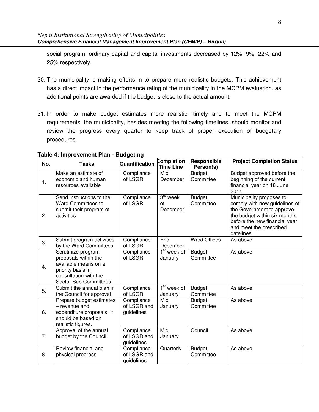social program, ordinary capital and capital investments decreased by 12%, 9%, 22% and 25% respectively.

- 30. The municipality is making efforts in to prepare more realistic budgets. This achievement has a direct impact in the performance rating of the municipality in the MCPM evaluation, as additional points are awarded if the budget is close to the actual amount.
- 31. In order to make budget estimates more realistic, timely and to meet the MCPM requirements, the municipality, besides meeting the following timelines, should monitor and review the progress every quarter to keep track of proper execution of budgetary procedures.

| No.            | <b>Tasks</b>                                                                                                                               | Quantification                          | Completion<br><b>Time Line</b>         | Responsible<br>Person(s)   | <b>Project Completion Status</b>                                                                                                                                                                 |
|----------------|--------------------------------------------------------------------------------------------------------------------------------------------|-----------------------------------------|----------------------------------------|----------------------------|--------------------------------------------------------------------------------------------------------------------------------------------------------------------------------------------------|
| $\mathbf{1}$ . | Make an estimate of<br>economic and human<br>resources available                                                                           | Compliance<br>of LSGR                   | Mid<br>December                        | <b>Budget</b><br>Committee | Budget approved before the<br>beginning of the current<br>financial year on 18 June<br>2011                                                                                                      |
| 2.             | Send instructions to the<br><b>Ward Committees to</b><br>submit their program of<br>activities                                             | Compliance<br>of LSGR                   | $3^{\text{rd}}$ week<br>οf<br>December | <b>Budget</b><br>Committee | Municipality proposes to<br>comply with new guidelines of<br>the Government to approve<br>the budget within six months<br>before the new financial year<br>and meet the prescribed<br>datelines. |
| 3.             | Submit program activities<br>by the Ward Committees                                                                                        | Compliance<br>of LSGR                   | End<br>December                        | <b>Ward Offices</b>        | As above                                                                                                                                                                                         |
| 4.             | Scrutinize program<br>proposals within the<br>available means on a<br>priority basis in<br>consultation with the<br>Sector Sub Committees. | Compliance<br>of LSGR                   | $1st$ week of<br>January               | <b>Budget</b><br>Committee | As above                                                                                                                                                                                         |
| 5.             | Submit the annual plan in<br>the Council for approval                                                                                      | Compliance<br>of LSGR                   | $1st$ week of<br>January               | <b>Budget</b><br>Committee | As above                                                                                                                                                                                         |
| 6.             | Prepare budget estimates<br>- revenue and<br>expenditure proposals. It<br>should be based on<br>realistic figures.                         | Compliance<br>of LSGR and<br>guidelines | Mid<br>January                         | <b>Budget</b><br>Committee | As above                                                                                                                                                                                         |
| 7.             | Approval of the annual<br>budget by the Council                                                                                            | Compliance<br>of LSGR and<br>guidelines | Mid<br>January                         | Council                    | As above                                                                                                                                                                                         |
| 8              | Review financial and<br>physical progress                                                                                                  | Compliance<br>of LSGR and<br>guidelines | Quarterly                              | <b>Budget</b><br>Committee | As above                                                                                                                                                                                         |

## **Table 4: Improvement Plan - Budgeting**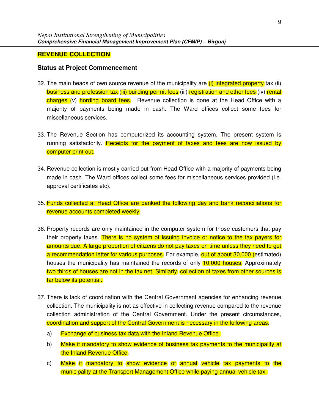#### **REVENUE COLLECTION**

- 32. The main heads of own source revenue of the municipality are *(i)* integrated property tax (ii) business and profession tax (iii) building permit fees (iii) registration and other fees (iv) rental charges (v) hording board fees. Revenue collection is done at the Head Office with a majority of payments being made in cash. The Ward offices collect some fees for miscellaneous services.
- 33. The Revenue Section has computerized its accounting system. The present system is running satisfactorily. Receipts for the payment of taxes and fees are now issued by computer print out.
- 34. Revenue collection is mostly carried out from Head Office with a majority of payments being made in cash. The Ward offices collect some fees for miscellaneous services provided (i.e. approval certificates etc).
- 35. Funds collected at Head Office are banked the following day and bank reconciliations for revenue accounts completed weekly.
- 36. Property records are only maintained in the computer system for those customers that pay their property taxes. There is no system of issuing invoice or notice to the tax payers for amounts due. A large proportion of citizens do not pay taxes on time unless they need to get a recommendation letter for various purposes. For example, out of about 30,000 (estimated) houses the municipality has maintained the records of only 10,000 houses. Approximately two thirds of houses are not in the tax net. Similarly, collection of taxes from other sources is far below its potential.
- 37. There is lack of coordination with the Central Government agencies for enhancing revenue collection. The municipality is not as effective in collecting revenue compared to the revenue collection administration of the Central Government. Under the present circumstances, coordination and support of the Central Government is necessary in the following areas.
	- a) Exchange of business tax data with the Inland Revenue Office.
	- b) Make it mandatory to show evidence of business tax payments to the municipality at the Inland Revenue Office.
	- c) Make it mandatory to show evidence of annual vehicle tax payments to the municipality at the Transport Management Office while paying annual vehicle tax.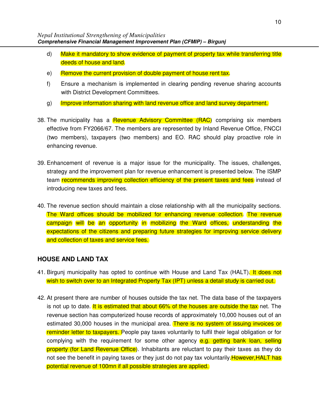- d) Make it mandatory to show evidence of payment of property tax while transferring title deeds of house and land.
- e) Remove the current provision of double payment of house rent tax.
- f) Ensure a mechanism is implemented in clearing pending revenue sharing accounts with District Development Committees.
- g) Improve information sharing with land revenue office and land survey department.
- 38. The municipality has a Revenue Advisory Committee (RAC) comprising six members effective from FY2066/67. The members are represented by Inland Revenue Office, FNCCI (two members), taxpayers (two members) and EO. RAC should play proactive role in enhancing revenue.
- 39. Enhancement of revenue is a major issue for the municipality. The issues, challenges, strategy and the improvement plan for revenue enhancement is presented below. The ISMP team recommends improving collection efficiency of the present taxes and fees instead of introducing new taxes and fees.
- 40. The revenue section should maintain a close relationship with all the municipality sections. The Ward offices should be mobilized for enhancing revenue collection. The revenue campaign will be an opportunity in mobilizing the Ward offices, understanding the expectations of the citizens and preparing future strategies for improving service delivery and collection of taxes and service fees.

#### **HOUSE AND LAND TAX**

- 41. Birgunj municipality has opted to continue with House and Land Tax (HALT). It does not wish to switch over to an Integrated Property Tax (IPT) unless a detail study is carried out.
- 42. At present there are number of houses outside the tax net. The data base of the taxpayers is not up to date. It is estimated that about 66% of the houses are outside the tax net. The revenue section has computerized house records of approximately 10,000 houses out of an estimated 30,000 houses in the municipal area. There is no system of issuing invoices or reminder letter to taxpayers. People pay taxes voluntarily to fulfil their legal obligation or for complying with the requirement for some other agency e.g. getting bank loan, selling property (for Land Revenue Office). Inhabitants are reluctant to pay their taxes as they do not see the benefit in paying taxes or they just do not pay tax voluntarily. However, HALT has potential revenue of 100mn if all possible strategies are applied.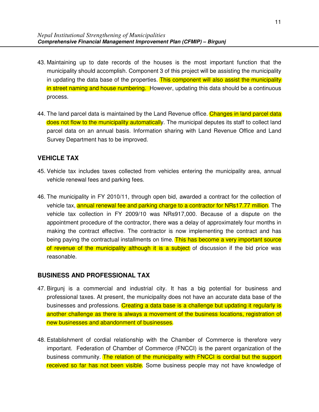- 43. Maintaining up to date records of the houses is the most important function that the municipality should accomplish. Component 3 of this project will be assisting the municipality in updating the data base of the properties. This component will also assist the municipality in street naming and house numbering. However, updating this data should be a continuous process.
- 44. The land parcel data is maintained by the Land Revenue office. Changes in land parcel data does not flow to the municipality automatically. The municipal deputes its staff to collect land parcel data on an annual basis. Information sharing with Land Revenue Office and Land Survey Department has to be improved.

### **VEHICLE TAX**

- 45. Vehicle tax includes taxes collected from vehicles entering the municipality area, annual vehicle renewal fees and parking fees.
- 46. The municipality in FY 2010/11, through open bid, awarded a contract for the collection of vehicle tax, **annual renewal fee and parking charge to a contractor for NRs17.77 million**. The vehicle tax collection in FY 2009/10 was NRs917,000. Because of a dispute on the appointment procedure of the contractor, there was a delay of approximately four months in making the contract effective. The contractor is now implementing the contract and has being paying the contractual installments on time. This has become a very important source of revenue of the municipality although it is a subject of discussion if the bid price was reasonable.

#### **BUSINESS AND PROFESSIONAL TAX**

- 47. Birgunj is a commercial and industrial city. It has a big potential for business and professional taxes. At present, the municipality does not have an accurate data base of the businesses and professions. Creating a data base is a challenge but updating it regularly is another challenge as there is always a movement of the business locations, registration of new businesses and abandonment of businesses.
- 48. Establishment of cordial relationship with the Chamber of Commerce is therefore very important. Federation of Chamber of Commerce (FNCCI) is the parent organization of the business community. The relation of the municipality with FNCCI is cordial but the support received so far has not been visible. Some business people may not have knowledge of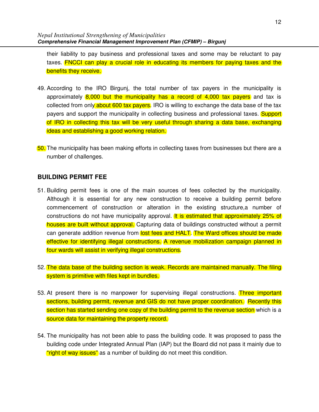their liability to pay business and professional taxes and some may be reluctant to pay taxes. FNCCI can play a crucial role in educating its members for paying taxes and the benefits they receive.

- 49. According to the IRO Birgunj, the total number of tax payers in the municipality is approximately 8,000 but the municipality has a record of 4,000 tax payers and tax is collected from only about 600 tax payers. IRO is willing to exchange the data base of the tax payers and support the municipality in collecting business and professional taxes. **Support** of IRO in collecting this tax will be very useful through sharing a data base, exchanging ideas and establishing a good working relation.
- 50. The municipality has been making efforts in collecting taxes from businesses but there are a number of challenges.

### **BUILDING PERMIT FEE**

- 51. Building permit fees is one of the main sources of fees collected by the municipality. Although it is essential for any new construction to receive a building permit before commencement of construction or alteration in the existing structure,a number of constructions do not have municipality approval. It is estimated that approximately 25% of houses are built without approval. Capturing data of buildings constructed without a permit can generate addition revenue from lost fees and HALT. The Ward offices should be made effective for identifying illegal constructions. A revenue mobilization campaign planned in four wards will assist in verifying illegal constructions.
- 52. The data base of the building section is weak. Records are maintained manually. The filing system is primitive with files kept in bundles.
- 53. At present there is no manpower for supervising illegal constructions. Three important sections, building permit, revenue and GIS do not have proper coordination. Recently this section has started sending one copy of the building permit to the revenue section which is a source data for maintaining the property record.
- 54. The municipality has not been able to pass the building code. It was proposed to pass the building code under Integrated Annual Plan (IAP) but the Board did not pass it mainly due to "right of way issues" as a number of building do not meet this condition.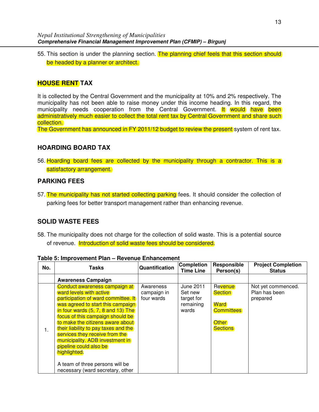55. This section is under the planning section. The planning chief feels that this section should be headed by a planner or architect.

## **HOUSE RENT TAX**

It is collected by the Central Government and the municipality at 10% and 2% respectively. The municipality has not been able to raise money under this income heading. In this regard, the municipality needs cooperation from the Central Government. It would have been administratively much easier to collect the total rent tax by Central Government and share such collection.

The Government has announced in FY 2011/12 budget to review the present system of rent tax.

### **HOARDING BOARD TAX**

56. Hoarding board fees are collected by the municipality through a contractor. This is a satisfactory arrangement.

## **PARKING FEES**

57. The municipality has not started collecting parking fees. It should consider the collection of parking fees for better transport management rather than enhancing revenue.

## **SOLID WASTE FEES**

58. The municipality does not charge for the collection of solid waste. This is a potential source of revenue. Introduction of solid waste fees should be considered.

| No. | Tasks                                  | Quantification | <b>Completion</b><br><b>Time Line</b> | Responsible<br>Person(s) | <b>Project Completion</b><br><b>Status</b> |
|-----|----------------------------------------|----------------|---------------------------------------|--------------------------|--------------------------------------------|
|     | <b>Awareness Campaign</b>              |                |                                       |                          |                                            |
|     | Conduct awareness campaign at          | Awareness      | June 2011                             | Revenue                  | Not yet commenced.                         |
|     | ward levels with active                | campaign in    | Set new                               | <b>Section</b>           | Plan has been                              |
|     | participation of ward committee. It    | four wards     | target for                            |                          | prepared                                   |
|     | was agreed to start this campaign      |                | remaining                             | <b>Ward</b>              |                                            |
|     | in four wards $(5, 7, 8$ and $13)$ The |                | wards                                 | <b>Committees</b>        |                                            |
|     | focus of this campaign should be       |                |                                       |                          |                                            |
|     | to make the citizens aware about       |                |                                       | <b>Other</b>             |                                            |
| 1.  | their liability to pay taxes and the   |                |                                       | <b>Sections</b>          |                                            |
|     | services they receive from the         |                |                                       |                          |                                            |
|     | municipality. ADB investment in        |                |                                       |                          |                                            |
|     | pipeline could also be                 |                |                                       |                          |                                            |
|     | highlighted.                           |                |                                       |                          |                                            |
|     |                                        |                |                                       |                          |                                            |
|     | A team of three persons will be        |                |                                       |                          |                                            |
|     | necessary (ward secretary, other       |                |                                       |                          |                                            |

#### **Table 5: Improvement Plan – Revenue Enhancement**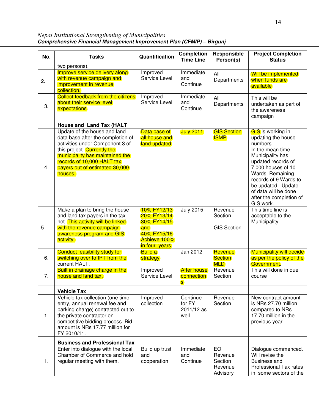*Nepal Institutional Strengthening of Municipalities* **Comprehensive Financial Management Improvement Plan (CFMIP) – Birgunj** 

| No. | <b>Tasks</b>                                                                                                                                                                                                                                      | Quantification                                                                                   | <b>Completion</b><br><b>Time Line</b>    | Responsible<br>Person(s)                        | <b>Project Completion</b><br><b>Status</b>                                                                                                                                                                                                                                        |
|-----|---------------------------------------------------------------------------------------------------------------------------------------------------------------------------------------------------------------------------------------------------|--------------------------------------------------------------------------------------------------|------------------------------------------|-------------------------------------------------|-----------------------------------------------------------------------------------------------------------------------------------------------------------------------------------------------------------------------------------------------------------------------------------|
|     | two persons).                                                                                                                                                                                                                                     |                                                                                                  |                                          |                                                 |                                                                                                                                                                                                                                                                                   |
| 2.  | Improve service delivery along<br>with revenue campaign and<br>improvement in revenue<br>collection.                                                                                                                                              | Improved<br>Service Level                                                                        | Immediate<br>and<br>Continue             | All<br>Departments                              | <b>Will be implemented</b><br>when funds are<br>available                                                                                                                                                                                                                         |
| 3.  | <b>Collect feedback from the citizens</b><br>about their service level<br>expectations.                                                                                                                                                           | Improved<br>Service Level                                                                        | Immediate<br>and<br>Continue             | All<br>Departments                              | This will be<br>undertaken as part of<br>the awareness<br>campaign                                                                                                                                                                                                                |
|     | House and Land Tax (HALT                                                                                                                                                                                                                          |                                                                                                  |                                          |                                                 |                                                                                                                                                                                                                                                                                   |
| 4.  | Update of the house and land<br>data base after the completion of<br>activities under Component 3 of<br>this project. Currently the<br>municipality has maintained the<br>records of 10,000 HALT tax<br>payers out of estimated 30,000<br>houses. | Data base of<br>all house and<br>land updated                                                    | <b>July 2011</b>                         | <b>GIS Section</b><br><b>ISMP</b>               | <b>GIS</b> is working in<br>updating the house<br>numbers.<br>In the mean time<br>Municipality has<br>updated records of<br>7,000 houses of 10<br>Wards. Remaining<br>records of 9 Wards to<br>be updated. Update<br>of data will be done<br>after the completion of<br>GIS work. |
| 5.  | Make a plan to bring the house<br>and land tax payers in the tax<br>net. This activity will be linked<br>with the revenue campaign<br>awareness program and GIS<br>activity.                                                                      | 10% FY12/13<br>20% FY13/14<br>30% FY14/15<br>and<br>40% FY15/16<br>Achieve 100%<br>in four years | <b>July 2015</b>                         | Revenue<br>Section<br><b>GIS Section</b>        | This time line is<br>acceptable to the<br>Municipality.                                                                                                                                                                                                                           |
| 6.  | <b>Conduct feasibility study for</b><br>switching over to IPT from the<br>current HALT.                                                                                                                                                           | <b>Build a</b><br>strategy                                                                       | Jan 2012                                 | Revenue<br><b>Section</b><br><b>MLD</b>         | <b>Municipality will decide</b><br>as per the policy of the<br>Government.                                                                                                                                                                                                        |
| 7.  | Built in drainage charge in the<br>house and land tax.                                                                                                                                                                                            | Improved<br>Service Level                                                                        | <b>After house</b><br>connection<br>s.   | Revenue<br>Section                              | This will done in due<br>course                                                                                                                                                                                                                                                   |
|     | <b>Vehicle Tax</b>                                                                                                                                                                                                                                |                                                                                                  |                                          |                                                 |                                                                                                                                                                                                                                                                                   |
| 1.  | Vehicle tax collection (one time<br>entry, annual renewal fee and<br>parking charge) contracted out to<br>the private contractor on<br>competitive bidding process. Bid<br>amount is NRs 17.77 million for<br>FY 2010/11.                         | Improved<br>collection                                                                           | Continue<br>for FY<br>2011/12 as<br>well | Revenue<br>Section                              | New contract amount<br>is NRs 27.70 million<br>compared to NRs<br>17.70 million in the<br>previous year                                                                                                                                                                           |
|     | <b>Business and Professional Tax</b>                                                                                                                                                                                                              |                                                                                                  |                                          |                                                 |                                                                                                                                                                                                                                                                                   |
| 1.  | Enter into dialogue with the local<br>Chamber of Commerce and hold<br>regular meeting with them.                                                                                                                                                  | Build up trust<br>and<br>cooperation                                                             | Immediate<br>and<br>Continue             | EO<br>Revenue<br>Section<br>Revenue<br>Advisory | Dialogue commenced.<br>Will revise the<br><b>Business and</b><br>Professional Tax rates<br>in some sectors of the                                                                                                                                                                 |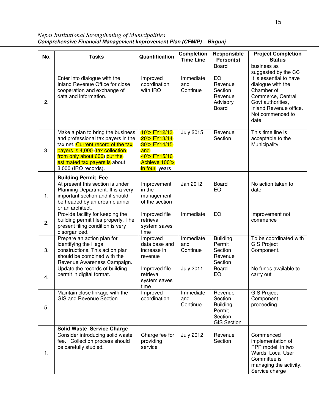*Nepal Institutional Strengthening of Municipalities* **Comprehensive Financial Management Improvement Plan (CFMIP) – Birgunj** 

| No. | <b>Tasks</b>                                                                                                                                                                                                                               | Quantification                                                                                   | <b>Completion</b><br><b>Time Line</b> | Responsible<br>Person(s)                                                         | <b>Project Completion</b><br><b>Status</b>                                                                                                                 |
|-----|--------------------------------------------------------------------------------------------------------------------------------------------------------------------------------------------------------------------------------------------|--------------------------------------------------------------------------------------------------|---------------------------------------|----------------------------------------------------------------------------------|------------------------------------------------------------------------------------------------------------------------------------------------------------|
|     |                                                                                                                                                                                                                                            |                                                                                                  |                                       | <b>Board</b>                                                                     | business as<br>suggested by the CC                                                                                                                         |
| 2.  | Enter into dialogue with the<br>Inland Revenue Office for close<br>cooperation and exchange of<br>data and information.                                                                                                                    | Improved<br>coordination<br>with IRO                                                             | Immediate<br>and<br>Continue          | EO<br>Revenue<br>Section<br>Revenue<br>Advisory<br>Board                         | It is essential to have<br>dialogue with the<br>Chamber of<br>Commerce, Central<br>Govt authorities,<br>Inland Revenue office.<br>Not commenced to<br>date |
| 3.  | Make a plan to bring the business<br>and professional tax payers in the<br>tax net. Current record of the tax<br>payers is 4,000 (tax collection)<br>from only about 600) but the<br>estimated tax payers is about<br>8,000 (IRO records). | 10% FY12/13<br>20% FY13/14<br>30% FY14/15<br>and<br>40% FY15/16<br>Achieve 100%<br>in four years | <b>July 2015</b>                      | Revenue<br>Section                                                               | This time line is<br>acceptable to the<br>Municipality.                                                                                                    |
|     | <b>Building Permit Fee</b>                                                                                                                                                                                                                 |                                                                                                  |                                       |                                                                                  |                                                                                                                                                            |
| 1.  | At present this section is under<br>Planning Department. It is a very<br>important section and it should<br>be headed by an urban planner<br>or an architect.                                                                              | Improvement<br>in the<br>management<br>of the section                                            | Jan 2012                              | Board<br>EO                                                                      | No action taken to<br>date                                                                                                                                 |
| 2.  | Provide facility for keeping the<br>building permit files properly. The<br>present filing condition is very<br>disorganized.                                                                                                               | Improved file<br>retrieval<br>system saves<br>time                                               | Immediate                             | EO                                                                               | Improvement not<br>commence                                                                                                                                |
| 3.  | Prepare an action plan for<br>identifying the illegal<br>constructions. This action plan<br>should be combined with the<br>Revenue Awareness Campaign.                                                                                     | Improved<br>data base and<br>increase in<br>revenue                                              | Immediate<br>and<br>Continue          | <b>Building</b><br>Permit<br>Section<br>Revenue<br>Section                       | To be coordinated with<br><b>GIS Project</b><br>Component.                                                                                                 |
| 4.  | Update the records of building<br>permit in digital format.                                                                                                                                                                                | Improved file<br>retrieval<br>system saves<br>time                                               | <b>July 2011</b>                      | Board<br>EO                                                                      | No funds available to<br>carry out                                                                                                                         |
| 5.  | Maintain close linkage with the<br>GIS and Revenue Section.                                                                                                                                                                                | Improved<br>coordination                                                                         | Immediate<br>and<br>Continue          | Revenue<br>Section<br><b>Building</b><br>Permit<br>Section<br><b>GIS Section</b> | <b>GIS Project</b><br>Component<br>proceeding                                                                                                              |
|     | <b>Solid Waste Service Charge</b>                                                                                                                                                                                                          |                                                                                                  |                                       |                                                                                  |                                                                                                                                                            |
| 1.  | Consider introducing solid waste<br>fee. Collection process should<br>be carefully studied.                                                                                                                                                | Charge fee for<br>providing<br>service                                                           | <b>July 2012</b>                      | Revenue<br>Section                                                               | Commenced<br>implementation of<br>PPP model in two<br>Wards. Local User<br>Committee is<br>managing the activity.<br>Service charge                        |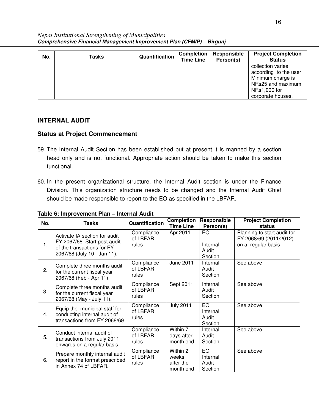| No. | Tasks | Quantification | <b>Completion</b><br><b>Time Line</b> | Responsible<br>Person(s) | <b>Project Completion</b><br><b>Status</b>                                                                                 |
|-----|-------|----------------|---------------------------------------|--------------------------|----------------------------------------------------------------------------------------------------------------------------|
|     |       |                |                                       |                          | collection varies<br>according to the user.<br>Minimum charge is<br>NRs25 and maximum<br>NRs1,000 for<br>corporate houses, |

## **INTERNAL AUDIT**

- 59. The Internal Audit Section has been established but at present it is manned by a section head only and is not functional. Appropriate action should be taken to make this section functional.
- 60. In the present organizational structure, the Internal Audit section is under the Finance Division. This organization structure needs to be changed and the Internal Audit Chief should be made responsible to report to the EO as specified in the LBFAR.

| No. | <b>Tasks</b>                                                                                                               | Quantification                  | <b>Completion</b><br><b>Time Line</b>       | Responsible<br>Person(s)            | <b>Project Completion</b><br>status                                         |
|-----|----------------------------------------------------------------------------------------------------------------------------|---------------------------------|---------------------------------------------|-------------------------------------|-----------------------------------------------------------------------------|
| 1.  | Activate IA section for audit<br>FY 2067/68. Start post audit<br>of the transactions for FY<br>2067/68 (July 10 - Jan 11). | Compliance<br>of LBFAR<br>rules | Apr 2011                                    | EO.<br>Internal<br>Audit<br>Section | Planning to start audit for<br>FY 2068/69 (2011/2012)<br>on a regular basis |
| 2.  | Complete three months audit<br>for the current fiscal year<br>2067/68 (Feb - Apr 11).                                      | Compliance<br>of LBFAR<br>rules | June 2011                                   | Internal<br>Audit<br>Section        | See above                                                                   |
| 3.  | Complete three months audit<br>for the current fiscal year<br>2067/68 (May - July 11).                                     | Compliance<br>of LBFAR<br>rules | Sept 2011                                   | Internal<br>Audit<br>Section        | See above                                                                   |
| 4.  | Equip the municipal staff for<br>conducting internal audit of<br>transactions from FY 2068/69                              | Compliance<br>of LBFAR<br>rules | <b>July 2011</b>                            | EO<br>Internal<br>Audit<br>Section  | See above                                                                   |
| 5.  | Conduct internal audit of<br>transactions from July 2011<br>onwards on a regular basis.                                    | Compliance<br>of LBFAR<br>rules | Within 7<br>days after<br>month end         | Internal<br>Audit<br>Section        | See above                                                                   |
| 6.  | Prepare monthly internal audit<br>report in the format prescribed<br>in Annex 74 of LBFAR.                                 | Compliance<br>of LBFAR<br>rules | Within 2<br>weeks<br>after the<br>month end | EO<br>Internal<br>Audit<br>Section  | See above                                                                   |

**Table 6: Improvement Plan – Internal Audit**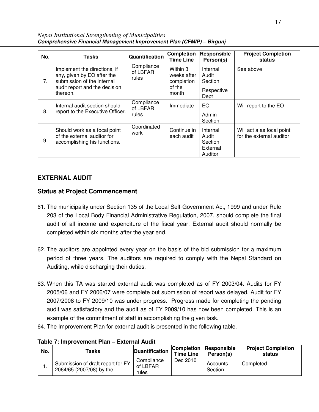| No.         | <b>Tasks</b>                                                                                                                          | Quantification                  | <b>Completion</b><br><b>Time Line</b>                    | Responsible<br>Person(s)                            | <b>Project Completion</b><br>status                   |
|-------------|---------------------------------------------------------------------------------------------------------------------------------------|---------------------------------|----------------------------------------------------------|-----------------------------------------------------|-------------------------------------------------------|
| $7_{\cdot}$ | Implement the directions, if<br>any, given by EO after the<br>submission of the internal<br>audit report and the decision<br>thereon. | Compliance<br>of LBFAR<br>rules | Within 3<br>weeks after<br>completion<br>of the<br>month | Internal<br>Audit<br>Section<br>Respective<br>Dept  | See above                                             |
| 8.          | Internal audit section should<br>report to the Executive Officer.                                                                     | Compliance<br>of LBFAR<br>rules | Immediate                                                | EO.<br>Admin<br>Section                             | Will report to the EO                                 |
| 9.          | Should work as a focal point<br>of the external auditor for<br>accomplishing his functions.                                           | Coordinated<br>work             | Continue in<br>each audit                                | Internal<br>Audit<br>Section<br>External<br>Auditor | Will act a as focal point<br>for the external auditor |

*Nepal Institutional Strengthening of Municipalities* **Comprehensive Financial Management Improvement Plan (CFMIP) – Birgunj** 

## **EXTERNAL AUDIT**

- 61. The municipality under Section 135 of the Local Self-Government Act, 1999 and under Rule 203 of the Local Body Financial Administrative Regulation, 2007, should complete the final audit of all income and expenditure of the fiscal year. External audit should normally be completed within six months after the year end.
- 62. The auditors are appointed every year on the basis of the bid submission for a maximum period of three years. The auditors are required to comply with the Nepal Standard on Auditing, while discharging their duties.
- 63. When this TA was started external audit was completed as of FY 2003/04. Audits for FY 2005/06 and FY 2006/07 were complete but submission of report was delayed. Audit for FY 2007/2008 to FY 2009/10 was under progress. Progress made for completing the pending audit was satisfactory and the audit as of FY 2009/10 has now been completed. This is an example of the commitment of staff in accomplishing the given task.
- 64. The Improvement Plan for external audit is presented in the following table.

| No. | Tasks                                                         | Quantification                  | <b>Completion</b><br><b>Time Line</b> | <b>Responsible</b><br>Person(s) | <b>Project Completion</b><br>status |
|-----|---------------------------------------------------------------|---------------------------------|---------------------------------------|---------------------------------|-------------------------------------|
| . . | Submission of draft report for FY<br>2064/65 (2007/08) by the | Compliance<br>of LBFAR<br>rules | Dec 2010                              | Accounts<br>Section             | Completed                           |

**Table 7: Improvement Plan – External Audit**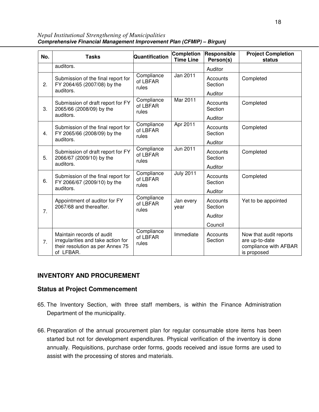*Nepal Institutional Strengthening of Municipalities* **Comprehensive Financial Management Improvement Plan (CFMIP) – Birgunj** 

| No. | <b>Tasks</b>                                                                                                     | Quantification                  | <b>Completion</b><br><b>Time Line</b> | Responsible<br>Person(s)                  | <b>Project Completion</b><br>status                                              |
|-----|------------------------------------------------------------------------------------------------------------------|---------------------------------|---------------------------------------|-------------------------------------------|----------------------------------------------------------------------------------|
|     | auditors.                                                                                                        |                                 |                                       | Auditor                                   |                                                                                  |
| 2.  | Submission of the final report for<br>FY 2064/65 (2007/08) by the<br>auditors.                                   | Compliance<br>of LBFAR<br>rules | Jan 2011                              | Accounts<br>Section                       | Completed                                                                        |
| 3.  | Submission of draft report for FY<br>2065/66 (2008/09) by the<br>auditors.                                       | Compliance<br>of LBFAR<br>rules | Mar 2011                              | Auditor<br>Accounts<br>Section<br>Auditor | Completed                                                                        |
| 4.  | Submission of the final report for<br>FY 2065/66 (2008/09) by the<br>auditors.                                   | Compliance<br>of LBFAR<br>rules | Apr 2011                              | Accounts<br>Section<br>Auditor            | Completed                                                                        |
| 5.  | Submission of draft report for FY<br>2066/67 (2009/10) by the<br>auditors.                                       | Compliance<br>of LBFAR<br>rules | Jun 2011                              | Accounts<br>Section<br>Auditor            | Completed                                                                        |
| 6.  | Submission of the final report for<br>FY 2066/67 (2009/10) by the<br>auditors.                                   | Compliance<br>of LBFAR<br>rules | <b>July 2011</b>                      | Accounts<br>Section<br>Auditor            | Completed                                                                        |
| 7.  | Appointment of auditor for FY<br>2067/68 and thereafter.                                                         | Compliance<br>of LBFAR<br>rules | Jan every<br>year                     | Accounts<br>Section<br>Auditor            | Yet to be appointed                                                              |
|     |                                                                                                                  |                                 |                                       | Council                                   |                                                                                  |
| 7.  | Maintain records of audit<br>irregularities and take action for<br>their resolution as per Annex 75<br>of LFBAR. | Compliance<br>of LBFAR<br>rules | Immediate                             | Accounts<br>Section                       | Now that audit reports<br>are up-to-date<br>compliance with AFBAR<br>is proposed |

## **INVENTORY AND PROCUREMENT**

- 65. The Inventory Section, with three staff members, is within the Finance Administration Department of the municipality.
- 66. Preparation of the annual procurement plan for regular consumable store items has been started but not for development expenditures. Physical verification of the inventory is done annually. Requisitions, purchase order forms, goods received and issue forms are used to assist with the processing of stores and materials.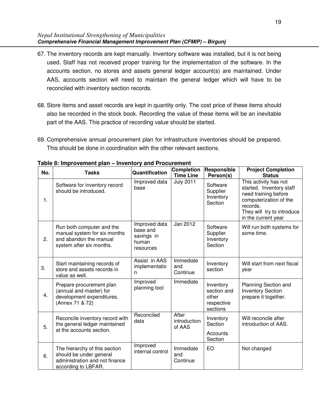- 67. The inventory records are kept manually. Inventory software was installed, but it is not being used. Staff has not received proper training for the implementation of the software. In the accounts section, no stores and assets general ledger account(s) are maintained. Under AAS, accounts section will need to maintain the general ledger which will have to be reconciled with inventory section records.
- 68. Store items and asset records are kept in quantity only. The cost price of these items should also be recorded in the stock book. Recording the value of these items will be an inevitable part of the AAS. This practice of recording value should be started.
- 69. Comprehensive annual procurement plan for infrastructure inventories should be prepared. This should be done in coordination with the other relevant sections.

| No. | <b>Tasks</b>                                                                                                      | Quantification                                                | <b>Completion</b><br><b>Time Line</b>                                                                | Responsible<br>Person(s)                                    | <b>Project Completion</b><br><b>Status</b>                                                                                                                           |
|-----|-------------------------------------------------------------------------------------------------------------------|---------------------------------------------------------------|------------------------------------------------------------------------------------------------------|-------------------------------------------------------------|----------------------------------------------------------------------------------------------------------------------------------------------------------------------|
| 1.  | Software for inventory record<br>should be introduced.                                                            | Improved data<br>base                                         | <b>July 2011</b>                                                                                     | Software<br>Supplier<br>Inventory<br>Section                | This activity has not<br>started. Inventory staff<br>need training before<br>computerization of the<br>records.<br>They will try to introduce<br>in the current year |
| 2.  | Run both computer and the<br>manual system for six months<br>and abandon the manual<br>system after six months.   | Improved data<br>base and<br>savings in<br>human<br>resources | Jan 2012<br>Software<br>Supplier<br>Inventory<br>Section<br>Immediate<br>Inventory<br>and<br>section |                                                             | Will run both systems for<br>some time.                                                                                                                              |
| 3.  | Start maintaining records of<br>store and assets records in<br>value as well.                                     | Assist in AAS<br>implementatio<br>n                           | Continue                                                                                             |                                                             | Will start from next fiscal<br>year                                                                                                                                  |
| 4.  | Prepare procurement plan<br>(annual and master) for<br>development expenditures.<br>(Annex 71 & 72)               | Improved<br>planning tool                                     | Immediate                                                                                            | Inventory<br>section and<br>other<br>respective<br>sections | Planning Section and<br><b>Inventory Section</b><br>prepare it together.                                                                                             |
| 5.  | Reconcile inventory record with<br>the general ledger maintained<br>at the accounts section.                      | Reconciled<br>data                                            | After<br>introduction<br>of AAS                                                                      | Inventory<br>Section<br>Accounts<br>Section                 | Will reconcile after<br>introduction of AAS.                                                                                                                         |
| 6.  | The hierarchy of this section<br>should be under general<br>administration and not finance<br>according to LBFAR. | Improved<br>internal control                                  | Immediate<br>and<br>Continue                                                                         | EO                                                          | Not changed                                                                                                                                                          |

**Table 8: Improvement plan – Inventory and Procurement**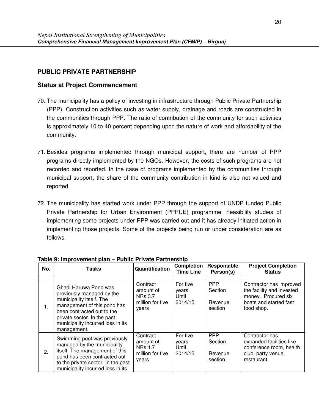## **PUBLIC PRIVATE PARTNERSHIP**

- 70. The municipality has a policy of investing in infrastructure through Public Private Partnership (PPP). Construction activities such as water supply, drainage and roads are constructed in the communities through PPP. The ratio of contribution of the community for such activities is approximately 10 to 40 percent depending upon the nature of work and affordability of the community.
- 71. Besides programs implemented through municipal support, there are number of PPP programs directly implemented by the NGOs. However, the costs of such programs are not recorded and reported. In the case of programs implemented by the communities through municipal support, the share of the community contribution in kind is also not valued and reported.
- 72. The municipality has started work under PPP through the support of UNDP funded Public Private Partnership for Urban Environment (PPPUE) programme. Feasibility studies of implementing some projects under PPP was carried out and it has already initiated action in implementing those projects. Some of the projects being run or under consideration are as follows.

| No. | <b>Tasks</b>                                                                                                                                                                                                                   | Quantification                                                       | <b>Completion</b><br><b>Time Line</b> | Responsible<br>Person(s)                    | <b>Project Completion</b><br><b>Status</b>                                                                 |  |  |
|-----|--------------------------------------------------------------------------------------------------------------------------------------------------------------------------------------------------------------------------------|----------------------------------------------------------------------|---------------------------------------|---------------------------------------------|------------------------------------------------------------------------------------------------------------|--|--|
|     |                                                                                                                                                                                                                                | Contract                                                             | For five                              | <b>PPP</b>                                  | Contractor has improved                                                                                    |  |  |
| 1.  | Ghadi Haruwa Pond was<br>previously managed by the<br>municipality itself. The<br>management of this pond has<br>been contracted out to the<br>private sector. In the past<br>municipality incurred loss in its<br>management. | amount of<br><b>NRs 3.7</b><br>million for five<br>years             | years<br>Until<br>2014/15             | Section<br>Revenue<br>section               | the facility and invested<br>money. Procured six<br>boats and started fast<br>food shop.                   |  |  |
| 2.  | Swimming pool was previously<br>managed by the municipality<br>itself. The management of this<br>pond has been contracted out<br>to the private sector. In the past<br>municipality incurred loss in its                       | Contract<br>amount of<br><b>NRs 1.7</b><br>million for five<br>years | For five<br>years<br>Until<br>2014/15 | <b>PPP</b><br>Section<br>Revenue<br>section | Contractor has<br>expanded facilities like<br>conference room, health<br>club, party venue,<br>restaurant. |  |  |

**Table 9: Improvement plan – Public Private Partnership**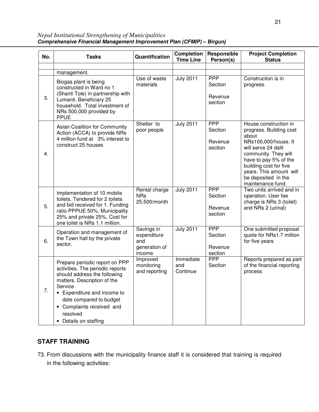|     |                                                                                                                                                                                                       |                                                             | <b>Completion</b>            | Responsible                                 | <b>Project Completion</b>                                                                                                                                                                                                                                  |
|-----|-------------------------------------------------------------------------------------------------------------------------------------------------------------------------------------------------------|-------------------------------------------------------------|------------------------------|---------------------------------------------|------------------------------------------------------------------------------------------------------------------------------------------------------------------------------------------------------------------------------------------------------------|
| No. | <b>Tasks</b>                                                                                                                                                                                          | Quantification                                              | <b>Time Line</b>             | Person(s)                                   | <b>Status</b>                                                                                                                                                                                                                                              |
|     |                                                                                                                                                                                                       |                                                             |                              |                                             |                                                                                                                                                                                                                                                            |
|     | management.                                                                                                                                                                                           |                                                             |                              |                                             |                                                                                                                                                                                                                                                            |
| 3.  | Biogas plant is being<br>constructed in Ward no 1<br>(Shanti Tole) in partnership with<br>Lumanti. Beneficiary 25<br>household. Total investment of<br>NRs 500,000 provided by<br><b>PPUE</b>         | Use of waste<br>materials                                   | <b>July 2011</b>             | <b>PPP</b><br>Section<br>Revenue<br>section | Construction is in<br>progress.                                                                                                                                                                                                                            |
| 4.  | Asian Coalition for Community<br>Action (ACCA) to provide NRs<br>4 million fund at 3% interest to<br>construct 25 houses                                                                              | Shelter to<br>poor people                                   | <b>July 2011</b>             | <b>PPP</b><br>Section<br>Revenue<br>section | House construction in<br>progress. Building cost<br>about<br>NRs100,000/house. It<br>will serve 24 dalit<br>community. They will<br>have to pay 5% of the<br>building cost for five<br>years. This amount will<br>be deposited in the<br>maintenance fund. |
| 5.  | Implementation of 10 mobile<br>toilets. Tendered for 2 toilets<br>and bid received for 1. Funding<br>ratio PPPUE 50%, Municipality<br>25% and private 25%. Cost for<br>one toilet is NRs 1.1 million. | Rental charge<br><b>NRs</b><br>25,500/month                 | <b>July 2011</b>             | <b>PPP</b><br>Section<br>Revenue<br>section | Two units arrived and in<br>operation. User fee<br>charge is NRs 3 (toilet)<br>and NRs 2 (urinal)                                                                                                                                                          |
| 6.  | Operation and management of<br>the Town hall by the private<br>sector.                                                                                                                                | Savings in<br>expenditure<br>and<br>generation of<br>income | <b>July 2011</b>             | <b>PPP</b><br>Section<br>Revenue<br>section | One submitted proposal<br>quote for NRs1.7 million<br>for five years                                                                                                                                                                                       |
|     | Prepare periodic report on PPP<br>activities. The periodic reports<br>should address the following                                                                                                    | Improved<br>monitoring<br>and reporting                     | Immediate<br>and<br>Continue | <b>PPP</b><br>Section                       | Reports prepared as part<br>of the financial reporting<br>process                                                                                                                                                                                          |

*Nepal Institutional Strengthening of Municipalities* **Comprehensive Financial Management Improvement Plan (CFMIP) – Birgunj** 

## **STAFF TRAINING**

Service

resolved • Details on staffing

matters. Description of the

• Expenditure and income to date compared to budget • Complaints received and

7.

73. From discussions with the municipality finance staff it is considered that training is required in the following activities: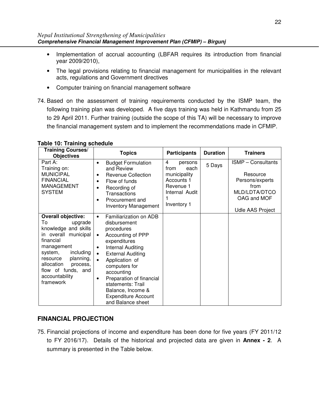- Implementation of accrual accounting (LBFAR requires its introduction from financial year 2009/2010),
- The legal provisions relating to financial management for municipalities in the relevant acts, regulations and Government directives
- Computer training on financial management software
- 74. Based on the assessment of training requirements conducted by the ISMP team, the following training plan was developed. A five days training was held in Kathmandu from 25 to 29 April 2011. Further training (outside the scope of this TA) will be necessary to improve the financial management system and to implement the recommendations made in CFMIP.

| <b>Training Courses/</b><br><b>Objectives</b>                                                                                                                                                                                                         | <b>Topics</b>                                                                                                                                                                                                                                                                                                                                                         | <b>Participants</b>                                                                                      | <b>Duration</b> | <b>Trainers</b>                                                                                                      |
|-------------------------------------------------------------------------------------------------------------------------------------------------------------------------------------------------------------------------------------------------------|-----------------------------------------------------------------------------------------------------------------------------------------------------------------------------------------------------------------------------------------------------------------------------------------------------------------------------------------------------------------------|----------------------------------------------------------------------------------------------------------|-----------------|----------------------------------------------------------------------------------------------------------------------|
| Part A:<br>Training on:<br><b>MUNICIPAL</b><br><b>FINANCIAL</b><br><b>MANAGEMENT</b><br><b>SYSTEM</b>                                                                                                                                                 | <b>Budget Formulation</b><br>$\bullet$<br>and Review<br><b>Revenue Collection</b><br>٠<br>Flow of funds<br>٠<br>Recording of<br>$\bullet$<br><b>Transactions</b><br>Procurement and<br>$\bullet$<br>Inventory Management                                                                                                                                              | 4<br>persons<br>each<br>from<br>municipality<br>Accounts 1<br>Revenue 1<br>Internal Audit<br>Inventory 1 | 5 Days          | <b>ISMP</b> - Consultants<br>Resource<br>Persons/experts<br>from<br>MLD/LDTA/DTCO<br>OAG and MOF<br>Udle AAS Project |
| <b>Overall objective:</b><br>To<br>upgrade<br>knowledge and skills<br>in overall municipal<br>financial<br>management<br>including<br>system,<br>planning,<br>resource<br>allocation<br>process,<br>flow of funds, and<br>accountability<br>framework | Familiarization on ADB<br>$\bullet$<br>disbursement<br>procedures<br>Accounting of PPP<br>$\bullet$<br>expenditures<br>Internal Auditing<br>٠<br><b>External Auditing</b><br>$\bullet$<br>Application of<br>computers for<br>accounting<br>Preparation of financial<br>٠<br>statements: Trail<br>Balance, Income &<br><b>Expenditure Account</b><br>and Balance sheet |                                                                                                          |                 |                                                                                                                      |

#### **Table 10: Training schedule**

## **FINANCIAL PROJECTION**

75. Financial projections of income and expenditure has been done for five years (FY 2011/12 to FY 2016/17). Details of the historical and projected data are given in **Annex - 2**. A summary is presented in the Table below.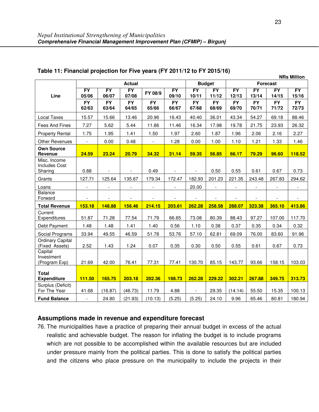|                                           | <b>Actual</b>            |                          |                          |                          |                          |                          | <b>Budget</b>            | <b>Forecast</b>          |                          |                    |                          |  |
|-------------------------------------------|--------------------------|--------------------------|--------------------------|--------------------------|--------------------------|--------------------------|--------------------------|--------------------------|--------------------------|--------------------|--------------------------|--|
|                                           | FY                       | $\overline{FY}$          | FY                       | FY 08/9                  | $\overline{FY}$          | $\overline{FY}$          | $\overline{FY}$          | $\overline{FY}$          | $\overline{FY}$          | $\overline{FY}$    | $\overline{FY}$          |  |
| Line                                      | 05/06<br><b>FY</b>       | 06/07<br><b>FY</b>       | 07/08<br><b>FY</b>       | <b>FY</b>                | 09/10<br><b>FY</b>       | 10/11<br><b>FY</b>       | 11/12<br><b>FY</b>       | 12/13<br><b>FY</b>       | 13/14<br><b>FY</b>       | 14/15<br><b>FY</b> | 15/16<br><b>FY</b>       |  |
|                                           | 62/63                    | 63/64                    | 64/65                    | 65/66                    | 66/67                    | 67/68                    | 68/69                    | 69/70                    | 70/71                    | 71/72              | 72/73                    |  |
| Local Taxes                               | 15.57                    | 15.66                    | 13.46                    | 20.96                    | 16.43                    | 40.40                    | 36.01                    | 43.34                    | 54.27                    | 69.18              | 88.46                    |  |
| Fees And Fines                            | 7.27                     | 5.62                     | 5.44                     | 11.86                    | 11.46                    | 16.34                    | 17.98                    | 19.78                    | 21.75                    | 23.93              | 26.32                    |  |
| <b>Property Rental</b>                    | 1.75                     | 1.95                     | 1.41                     | 1.50                     | 1.97                     | 2.60                     | 1.87                     | 1.96                     | 2.06                     | 2.16               | 2.27                     |  |
| <b>Other Revenues</b>                     | $\overline{\phantom{a}}$ | 0.00                     | 0.48                     | $\overline{\phantom{a}}$ | 1.28                     | 0.00                     | 1.00                     | 1.10                     | 1.21                     | 1.33               | 1.46                     |  |
| <b>Own Source</b><br>Revenue              | 24.59                    | 23.24                    | 20.79                    | 34.32                    | 31.14                    | 59.35                    | 56.85                    | 66.17                    | 79.29                    | 96.60              | 118.52                   |  |
| Misc. Income                              |                          |                          |                          |                          |                          |                          |                          |                          |                          |                    |                          |  |
| <b>Includes Cost</b><br>Sharing           | 0.88                     |                          |                          | 0.49                     |                          |                          | 0.50                     | 0.55                     | 0.61                     | 0.67               | 0.73                     |  |
| Grants                                    | 127.71                   | 125.64                   | 135.67                   | 179.34                   | 172.47                   | 182.93                   | 201.23                   | 221.35                   | 243.48                   | 267.83             | 294.62                   |  |
| Loans                                     | $\sim$                   | $\overline{\phantom{a}}$ | $\overline{\phantom{a}}$ | $\overline{\phantom{a}}$ | $\overline{\phantom{a}}$ | 20.00                    | $\bar{\phantom{a}}$      | $\blacksquare$           | $\overline{\phantom{a}}$ | $\blacksquare$     | $\overline{\phantom{a}}$ |  |
| <b>Balance</b><br>Forward                 | $\overline{\phantom{a}}$ | $\overline{\phantom{a}}$ | $\overline{\phantom{a}}$ |                          |                          | $\overline{\phantom{a}}$ | $\overline{\phantom{a}}$ | $\overline{\phantom{a}}$ | $\overline{\phantom{a}}$ |                    |                          |  |
| <b>Total Revenue</b>                      | 153.18                   | 148.88                   | 156.46                   | 214.15                   | 203.61                   | 262.28                   | 258.58                   | 288.07                   | 323.38                   | 365.10             | 413.86                   |  |
| Current<br>Expenditures                   | 51.87                    | 71.28                    | 77.54                    | 71.79                    | 66.65                    | 73.08                    | 80.39                    | 88.43                    | 97.27                    | 107.00             | 117.70                   |  |
| Debt Payment                              | 1.48                     | 1.48                     | 1.41                     | 1.40                     | 0.56                     | 1.10                     | 0.38                     | 0.37                     | 0.35                     | 0.34               | 0.32                     |  |
| Social Programs                           | 33.94                    | 49.55                    | 46.59                    | 51.78                    | 53.76                    | 57.10                    | 62.81                    | 69.09                    | 76.00                    | 83.60              | 91.96                    |  |
| <b>Ordinary Capital</b><br>(Fixed Assets) | 2.52                     | 1.43                     | 1.24                     | 0.07                     | 0.35                     | 0.30                     | 0.50                     | 0.55                     | 0.61                     | 0.67               | 0.73                     |  |
| Capital<br>Investment                     | 21.69                    | 42.00                    | 76.41                    | 77.31                    | 77.41                    | 130.70                   | 85.15                    | 143.77                   | 93.66                    | 158.15             | 103.03                   |  |
| (Program Exp)                             |                          |                          |                          |                          |                          |                          |                          |                          |                          |                    |                          |  |
| <b>Total</b><br><b>Expenditure</b>        | 111.50                   | 165.75                   | 203.18                   | 202.36                   | 198.73                   | 262.28                   | 229.22                   | 302.21                   | 267.88                   | 349.75             | 313.73                   |  |
| Surplus (Deficit)<br>For The Year         | 41.68                    | (16.87)                  | (46.73)                  | 11.79                    | 4.88                     | $\overline{\phantom{a}}$ | 29.35                    | (14.14)                  | 55.50                    | 15.35              | 100.13                   |  |
| <b>Fund Balance</b>                       | $\blacksquare$           | 24.80                    | (21.93)                  | (10.13)                  | (5.25)                   | (5.25)                   | 24.10                    | 9.96                     | 65.46                    | 80.81              | 180.94                   |  |

### **Table 11: Financial projection for Five years (FY 2011/12 to FY 2015/16)**

## **Assumptions made in revenue and expenditure forecast**

76. The municipalities have a practice of preparing their annual budget in excess of the actual realistic and achievable budget. The reason for inflating the budget is to include programs which are not possible to be accomplished within the available resources but are included under pressure mainly from the political parties. This is done to satisfy the political parties and the citizens who place pressure on the municipality to include the projects in their

**NRs Million**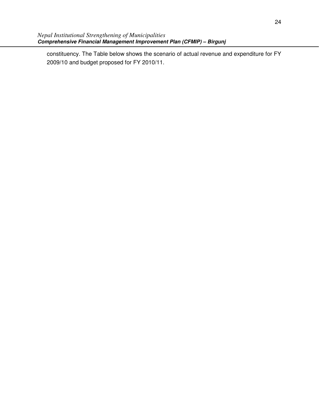constituency. The Table below shows the scenario of actual revenue and expenditure for FY 2009/10 and budget proposed for FY 2010/11.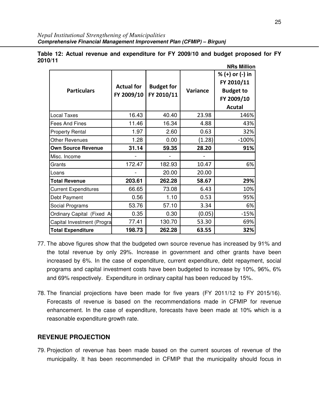| <b>Particulars</b>          | <b>Actual for</b><br>FY 2009/10 | <b>Budget for</b><br>FY 2010/11 | Variance | % (+) or (-) in<br>FY 2010/11<br><b>Budget to</b><br>FY 2009/10<br><b>Acutal</b> |
|-----------------------------|---------------------------------|---------------------------------|----------|----------------------------------------------------------------------------------|
| Local Taxes                 | 16.43                           | 40.40                           | 23.98    | 146%                                                                             |
| <b>Fees And Fines</b>       | 11.46                           | 16.34                           | 4.88     | 43%                                                                              |
| <b>Property Rental</b>      | 1.97                            | 2.60                            | 0.63     | 32%                                                                              |
| <b>Other Revenues</b>       | 1.28                            | 0.00                            | (1.28)   | $-100%$                                                                          |
| <b>Own Source Revenue</b>   | 31.14                           | 59.35                           | 28.20    | 91%                                                                              |
| Misc. Income                |                                 |                                 |          |                                                                                  |
| Grants                      | 172.47                          | 182.93                          | 10.47    | 6%                                                                               |
| Loans                       |                                 | 20.00                           | 20.00    |                                                                                  |
| <b>Total Revenue</b>        | 203.61                          | 262.28                          | 58.67    | 29%                                                                              |
| <b>Current Expenditures</b> | 66.65                           | 73.08                           | 6.43     | 10%                                                                              |
| Debt Payment                | 0.56                            | 1.10                            | 0.53     | 95%                                                                              |
| Social Programs             | 53.76                           | 57.10                           | 3.34     | 6%                                                                               |
| Ordinary Capital (Fixed A   | 0.35                            | 0.30                            | (0.05)   | $-15%$                                                                           |
| Capital Investment (Progra  | 77.41                           | 130.70                          | 53.30    | 69%                                                                              |
| <b>Total Expenditure</b>    | 198.73                          | 262.28                          | 63.55    | 32%                                                                              |

**Table 12: Actual revenue and expenditure for FY 2009/10 and budget proposed for FY 2010/11 NRs Million** 

- 77. The above figures show that the budgeted own source revenue has increased by 91% and the total revenue by only 29%. Increase in government and other grants have been increased by 6%. In the case of expenditure, current expenditure, debt repayment, social programs and capital investment costs have been budgeted to increase by 10%, 96%, 6% and 69% respectively. Expenditure in ordinary capital has been reduced by 15%.
- 78. The financial projections have been made for five years (FY 2011/12 to FY 2015/16). Forecasts of revenue is based on the recommendations made in CFMIP for revenue enhancement. In the case of expenditure, forecasts have been made at 10% which is a reasonable expenditure growth rate.

## **REVENUE PROJECTION**

79. Projection of revenue has been made based on the current sources of revenue of the municipality. It has been recommended in CFMIP that the municipality should focus in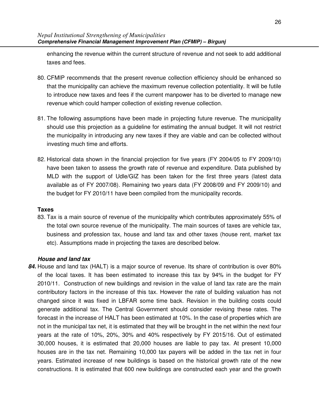enhancing the revenue within the current structure of revenue and not seek to add additional taxes and fees.

- 80. CFMIP recommends that the present revenue collection efficiency should be enhanced so that the municipality can achieve the maximum revenue collection potentiality. It will be futile to introduce new taxes and fees if the current manpower has to be diverted to manage new revenue which could hamper collection of existing revenue collection.
- 81. The following assumptions have been made in projecting future revenue. The municipality should use this projection as a guideline for estimating the annual budget. It will not restrict the municipality in introducing any new taxes if they are viable and can be collected without investing much time and efforts.
- 82. Historical data shown in the financial projection for five years (FY 2004/05 to FY 2009/10) have been taken to assess the growth rate of revenue and expenditure. Data published by MLD with the support of Udle/GIZ has been taken for the first three years (latest data available as of FY 2007/08). Remaining two years data (FY 2008/09 and FY 2009/10) and the budget for FY 2010/11 have been compiled from the municipality records.

#### **Taxes**

83. Tax is a main source of revenue of the municipality which contributes approximately 55% of the total own source revenue of the municipality. The main sources of taxes are vehicle tax, business and profession tax, house and land tax and other taxes (house rent, market tax etc). Assumptions made in projecting the taxes are described below.

## **House and land tax**

**84.** House and land tax (HALT) is a major source of revenue. Its share of contribution is over 80% of the local taxes. It has been estimated to increase this tax by 94% in the budget for FY 2010/11. Construction of new buildings and revision in the value of land tax rate are the main contributory factors in the increase of this tax. However the rate of building valuation has not changed since it was fixed in LBFAR some time back. Revision in the building costs could generate additional tax. The Central Government should consider revising these rates. The forecast in the increase of HALT has been estimated at 10%. In the case of properties which are not in the municipal tax net, it is estimated that they will be brought in the net within the next four years at the rate of 10%, 20%, 30% and 40% respectively by FY 2015/16. Out of estimated 30,000 houses, it is estimated that 20,000 houses are liable to pay tax. At present 10,000 houses are in the tax net. Remaining 10,000 tax payers will be added in the tax net in four years. Estimated increase of new buildings is based on the historical growth rate of the new constructions. It is estimated that 600 new buildings are constructed each year and the growth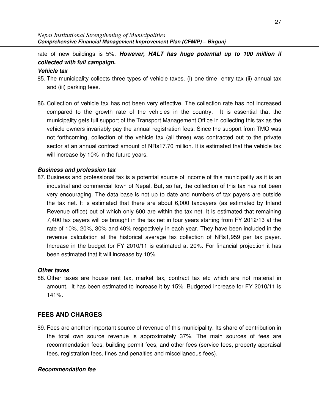rate of new buildings is 5%. **However, HALT has huge potential up to 100 million if collected with full campaign.**

#### **Vehicle tax**

- 85. The municipality collects three types of vehicle taxes. (i) one time entry tax (ii) annual tax and (iii) parking fees.
- 86. Collection of vehicle tax has not been very effective. The collection rate has not increased compared to the growth rate of the vehicles in the country. It is essential that the municipality gets full support of the Transport Management Office in collecting this tax as the vehicle owners invariably pay the annual registration fees. Since the support from TMO was not forthcoming, collection of the vehicle tax (all three) was contracted out to the private sector at an annual contract amount of NRs17.70 million. It is estimated that the vehicle tax will increase by 10% in the future years.

### **Business and profession tax**

87. Business and professional tax is a potential source of income of this municipality as it is an industrial and commercial town of Nepal. But, so far, the collection of this tax has not been very encouraging. The data base is not up to date and numbers of tax payers are outside the tax net. It is estimated that there are about 6,000 taxpayers (as estimated by Inland Revenue office) out of which only 600 are within the tax net. It is estimated that remaining 7,400 tax payers will be brought in the tax net in four years starting from FY 2012/13 at the rate of 10%, 20%, 30% and 40% respectively in each year. They have been included in the revenue calculation at the historical average tax collection of NRs1,959 per tax payer. Increase in the budget for FY 2010/11 is estimated at 20%. For financial projection it has been estimated that it will increase by 10%.

#### **Other taxes**

88. Other taxes are house rent tax, market tax, contract tax etc which are not material in amount. It has been estimated to increase it by 15%. Budgeted increase for FY 2010/11 is 141%.

## **FEES AND CHARGES**

89. Fees are another important source of revenue of this municipality. Its share of contribution in the total own source revenue is approximately 37%. The main sources of fees are recommendation fees, building permit fees, and other fees (service fees, property appraisal fees, registration fees, fines and penalties and miscellaneous fees).

## **Recommendation fee**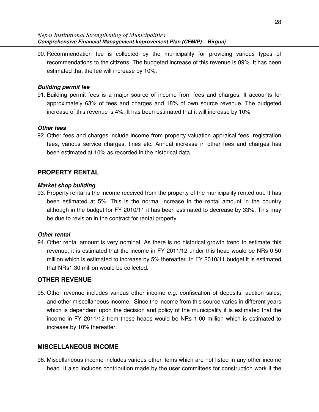90. Recommendation fee is collected by the municipality for providing various types of recommendations to the citizens. The budgeted increase of this revenue is 89%. It has been estimated that the fee will increase by 10%.

### **Building permit fee**

91. Building permit fees is a major source of income from fees and charges. It accounts for approximately 63% of fees and charges and 18% of own source revenue. The budgeted increase of this revenue is 4%. It has been estimated that it will increase by 10%.

### **Other fees**

92. Other fees and charges include income from property valuation appraisal fees, registration fees, various service charges, fines etc. Annual increase in other fees and charges has been estimated at 10% as recorded in the historical data.

## **PROPERTY RENTAL**

#### **Market shop building**

93. Property rental is the income received from the property of the municipality rented out. It has been estimated at 5%. This is the normal increase in the rental amount in the country although in the budget for FY 2010/11 it has been estimated to decrease by 33%. This may be due to revision in the contract for rental property.

#### **Other rental**

94. Other rental amount is very nominal. As there is no historical growth trend to estimate this revenue, it is estimated that the income in FY 2011/12 under this head would be NRs 0.50 million which is estimated to increase by 5% thereafter. In FY 2010/11 budget it is estimated that NRs1.30 million would be collected.

## **OTHER REVENUE**

95. Other revenue includes various other income e.g. confiscation of deposits, auction sales, and other miscellaneous income. Since the income from this source varies in different years which is dependent upon the decision and policy of the municipality it is estimated that the income in FY 2011/12 from these heads would be NRs 1.00 million which is estimated to increase by 10% thereafter.

## **MISCELLANEOUS INCOME**

96. Miscellaneous income includes various other items which are not listed in any other income head. It also includes contribution made by the user committees for construction work if the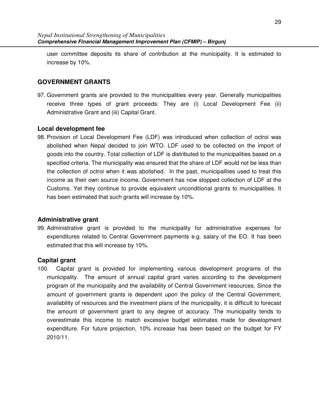user committee deposits its share of contribution at the municipality. It is estimated to increase by 10%.

## **GOVERNMENT GRANTS**

97. Government grants are provided to the municipalities every year. Generally municipalities receive three types of grant proceeds: They are (i) Local Development Fee (ii) Administrative Grant and (iii) Capital Grant.

### **Local development fee**

98. Provision of Local Development Fee (LDF) was introduced when collection of octroi was abolished when Nepal decided to join WTO. LDF used to be collected on the import of goods into the country. Total collection of LDF is distributed to the municipalities based on a specified criteria. The municipality was ensured that the share of LDF would not be less than the collection of octroi when it was abolished. In the past, municipalities used to treat this income as their own source income. Government has now stopped collection of LDF at the Customs. Yet they continue to provide equivalent unconditional grants to municipalities. It has been estimated that such grants will increase by 10%.

## **Administrative grant**

99. Administrative grant is provided to the municipality for administrative expenses for expenditures related to Central Government payments e.g. salary of the EO. It has been estimated that this will increase by 10%.

## **Capital grant**

100. Capital grant is provided for implementing various development programs of the municipality. The amount of annual capital grant varies according to the development program of the municipality and the availability of Central Government resources. Since the amount of government grants is dependent upon the policy of the Central Government, availability of resources and the investment plans of the municipality, it is difficult to forecast the amount of government grant to any degree of accuracy. The municipality tends to overestimate this income to match excessive budget estimates made for development expenditure. For future projection, 10% increase has been based on the budget for FY 2010/11.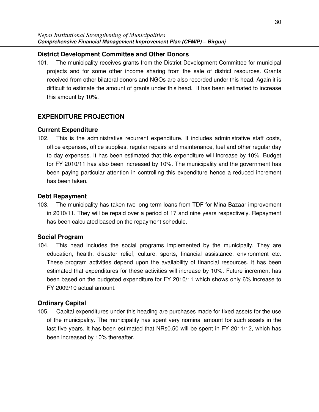## **District Development Committee and Other Donors**

101. The municipality receives grants from the District Development Committee for municipal projects and for some other income sharing from the sale of district resources. Grants received from other bilateral donors and NGOs are also recorded under this head. Again it is difficult to estimate the amount of grants under this head. It has been estimated to increase this amount by 10%.

## **EXPENDITURE PROJECTION**

## **Current Expenditure**

102. This is the administrative recurrent expenditure. It includes administrative staff costs, office expenses, office supplies, regular repairs and maintenance, fuel and other regular day to day expenses. It has been estimated that this expenditure will increase by 10%. Budget for FY 2010/11 has also been increased by 10%. The municipality and the government has been paying particular attention in controlling this expenditure hence a reduced increment has been taken.

## **Debt Repayment**

103. The municipality has taken two long term loans from TDF for Mina Bazaar improvement in 2010/11. They will be repaid over a period of 17 and nine years respectively. Repayment has been calculated based on the repayment schedule.

## **Social Program**

104. This head includes the social programs implemented by the municipally. They are education, health, disaster relief, culture, sports, financial assistance, environment etc. These program activities depend upon the availability of financial resources. It has been estimated that expenditures for these activities will increase by 10%. Future increment has been based on the budgeted expenditure for FY 2010/11 which shows only 6% increase to FY 2009/10 actual amount.

## **Ordinary Capital**

105. Capital expenditures under this heading are purchases made for fixed assets for the use of the municipality. The municipality has spent very nominal amount for such assets in the last five years. It has been estimated that NRs0.50 will be spent in FY 2011/12, which has been increased by 10% thereafter.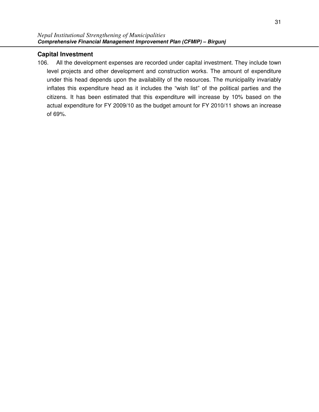## **Capital Investment**

106. All the development expenses are recorded under capital investment. They include town level projects and other development and construction works. The amount of expenditure under this head depends upon the availability of the resources. The municipality invariably inflates this expenditure head as it includes the "wish list" of the political parties and the citizens. It has been estimated that this expenditure will increase by 10% based on the actual expenditure for FY 2009/10 as the budget amount for FY 2010/11 shows an increase of 69%.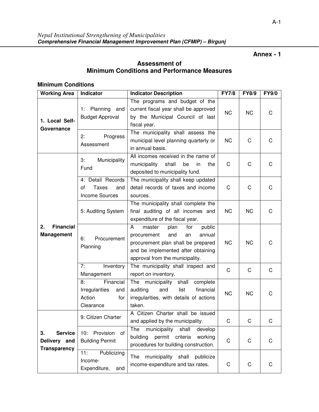## **Annex - 1**

## **Assessment of Minimum Conditions and Performance Measures**

## **Minimum Conditions**

| <b>Working Area</b>                                         | Indicator                                                              | <b>Indicator Description</b>                                                                                                                                                              | <b>FY7/8</b> | <b>FY8/9</b> | <b>FY9/0</b> |
|-------------------------------------------------------------|------------------------------------------------------------------------|-------------------------------------------------------------------------------------------------------------------------------------------------------------------------------------------|--------------|--------------|--------------|
| 1. Local Self-<br>Governance                                | Planning<br>and<br>1:<br><b>Budget Approval</b>                        | The programs and budget of the<br>current fiscal year shall be approved<br>by the Municipal Council of last<br>fiscal year.                                                               | <b>NC</b>    | <b>NC</b>    | C            |
|                                                             | 2:<br>Progress<br>Assessment                                           | The municipality shall assess the<br>municipal level planning quarterly or<br>in annual basis.                                                                                            | <b>NC</b>    | C            | C            |
| <b>Financial</b><br>2.<br><b>Management</b>                 | 3:<br>Municipality<br>Fund                                             | All incomes received in the name of<br>municipality<br>shall<br>be<br>in<br>the<br>deposited to municipality fund.                                                                        | C            | $\mathsf C$  | C            |
|                                                             | 4: Detail Records<br>Taxes<br>οf<br>and<br><b>Income Sources</b>       | The municipality shall keep updated<br>detail records of taxes and income<br>sources.                                                                                                     | C            | C            | C            |
|                                                             | 5: Auditing System                                                     | The municipality shall complete the<br>final auditing of all incomes and<br>expenditure of the fiscal year.                                                                               | <b>NC</b>    | NC.          | C            |
|                                                             | 6:<br>Procurement<br>Planning                                          | A<br>plan<br>for<br>public<br>master<br>procurement<br>and<br>annual<br>an<br>procurement plan shall be prepared<br>and be implemented after obtaining<br>approval from the municipality. | <b>NC</b>    | NC.          | С            |
|                                                             | 7:<br>Inventory<br>Management                                          | The municipality shall inspect and<br>report on inventory.                                                                                                                                | $\mathsf C$  | $\mathsf C$  | $\mathsf C$  |
|                                                             | Financial<br>8:<br>Irregularities<br>and<br>Action<br>for<br>Clearance | The municipality<br>shall<br>complete<br>auditing<br>and<br>list<br>financial<br>irregularities, with details of actions<br>taken.                                                        | <b>NC</b>    | <b>NC</b>    | C            |
| 3.<br><b>Service</b><br>Delivery and<br><b>Transparency</b> | 9: Citizen Charter                                                     | A Citizen Charter shall be issued<br>and applied by the municipality.                                                                                                                     | C            | C            | С            |
|                                                             | Provision<br>10:<br>of<br><b>Building Permit</b>                       | municipality shall<br>develop<br>The<br>permit criteria<br>building<br>working<br>procedures for building construction.                                                                   | C            | C            | C            |
|                                                             | Publicizing<br>11:<br>Income-<br>Expenditure,<br>and                   | The<br>municipality shall publicize<br>income-expenditure and tax rates.                                                                                                                  | C            | C            | C            |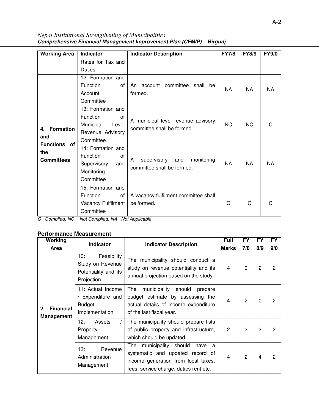*Nepal Institutional Strengthening of Municipalities* **Comprehensive Financial Management Improvement Plan (CFMIP) – Birgunj** 

| <b>Working Area</b>    | Indicator                             | <b>Indicator Description</b>          | <b>FY7/8</b> | <b>FY8/9</b> | <b>FY9/0</b> |
|------------------------|---------------------------------------|---------------------------------------|--------------|--------------|--------------|
|                        | Rates for Tax and                     |                                       |              |              |              |
|                        | <b>Duties</b>                         |                                       |              |              |              |
|                        | 12: Formation and                     |                                       |              |              |              |
|                        | Function<br>0f                        | An account committee<br>shall<br>be   | <b>NA</b>    | NA           | NA.          |
|                        | Account                               | formed.                               |              |              |              |
|                        | Committee                             |                                       |              |              |              |
|                        | 13: Formation and                     |                                       | <b>NC</b>    | <b>NC</b>    |              |
| <b>Formation</b><br>4. | Function<br>0f                        | A municipal level revenue advisory    |              |              |              |
|                        | Municipal<br>Level                    | committee shall be formed.            |              |              | C            |
|                        | Revenue Advisory                      |                                       |              |              |              |
| and                    | Committee                             |                                       |              |              |              |
| <b>Functions</b> of    | 14: Formation and                     |                                       |              |              |              |
| the                    | Function<br>0f                        |                                       | <b>NA</b>    | <b>NA</b>    |              |
| <b>Committees</b>      | Supervisory<br>and                    | supervisory<br>and<br>monitoring<br>A |              |              | <b>NA</b>    |
|                        | Monitoring                            | committee shall be formed.            |              |              |              |
|                        | Committee                             |                                       |              |              |              |
|                        | 15: Formation and                     |                                       |              |              |              |
|                        | Function<br>οf                        | A vacancy fulfilment committee shall  |              |              |              |
|                        | Vacancy Fulfilment                    | be formed.                            | C            | C            | C            |
|                        | Committee<br>$\mathbf{1}$<br>$\cdots$ | $\cdot$ $\cdot$                       |              |              |              |

 $C=$  Complied, NC = Not Complied, NA= Not Applicable

#### **Performance Measurement**

| Working                                     | <b>Indicator</b>                                                             | <b>Indicator Description</b>                                                                                                                              | Full         | <b>FY</b> | FY             | <b>FY</b>      |
|---------------------------------------------|------------------------------------------------------------------------------|-----------------------------------------------------------------------------------------------------------------------------------------------------------|--------------|-----------|----------------|----------------|
| Area                                        |                                                                              |                                                                                                                                                           | <b>Marks</b> | 7/8       | 8/9            | 9/0            |
| <b>Financial</b><br>2.<br><b>Management</b> | Feasibility<br>10:<br>Study on Revenue<br>Potentiality and its<br>Projection | The municipality should conduct a<br>study on revenue potentiality and its<br>annual projection based on the study.                                       | 4            | $\Omega$  | $\overline{2}$ | $\overline{2}$ |
|                                             | 11: Actual Income<br>Expenditure and<br>Budget<br>Implementation             | The<br>municipality<br>should<br>prepare<br>budget estimate by assessing the<br>actual details of income expenditure<br>of the last fiscal year.          | 4            | 2         | $\Omega$       | 2              |
|                                             | 12:<br>Assets<br>Property<br>Management                                      | The municipality should prepare lists<br>of public property and infrastructure,<br>which should be updated.                                               | 2            | 2         | 2              | 2              |
|                                             | 13:<br>Revenue<br>Administration<br>Management                               | The municipality should<br>have<br>a<br>systematic and updated record of<br>income generation from local taxes,<br>fees, service charge, duties rent etc. | 4            | 2         | 4              | 2              |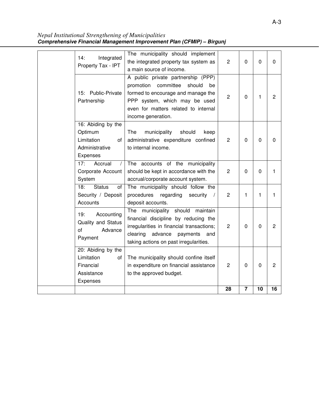*Nepal Institutional Strengthening of Municipalities* **Comprehensive Financial Management Improvement Plan (CFMIP) – Birgunj** 

|                                    |                                                                                  | 28             | $\overline{\mathbf{r}}$ | 10             | 16             |
|------------------------------------|----------------------------------------------------------------------------------|----------------|-------------------------|----------------|----------------|
| Expenses                           |                                                                                  |                |                         |                |                |
| Assistance                         | to the approved budget.                                                          |                |                         |                |                |
| Financial                          | in expenditure on financial assistance                                           | 2              | 0                       | 0              | $\overline{2}$ |
| Limitation<br>οf                   | The municipality should confine itself                                           |                |                         |                |                |
| 20: Abiding by the                 |                                                                                  |                |                         |                |                |
| Payment                            | clearing<br>advance<br>payments<br>and<br>taking actions on past irregularities. |                |                         |                |                |
| Advance<br>of                      | irregularities in financial transactions;                                        | 2              | 0                       | 0              | $\overline{2}$ |
| Quality and Status                 | financial discipline by reducing the                                             |                |                         |                |                |
| 19:<br>Accounting                  | The<br>municipality should<br>maintain                                           |                |                         |                |                |
| Accounts                           | deposit accounts.                                                                |                |                         |                |                |
| Security / Deposit                 | procedures<br>regarding<br>security<br>$\sqrt{2}$                                | $\overline{c}$ | 1                       | 1              | 1              |
| 18:<br><b>Status</b><br>οf         | The municipality should follow the                                               |                |                         |                |                |
| System                             | accrual/corporate account system.                                                |                |                         |                |                |
| Corporate Account                  | should be kept in accordance with the                                            | $\overline{2}$ | 0                       | $\overline{0}$ | 1              |
| Accrual<br>17:<br>$\sqrt{2}$       | The accounts of the municipality                                                 |                |                         |                |                |
| Expenses                           |                                                                                  |                |                         |                |                |
| Limitation<br>of<br>Administrative | administrative expenditure confined<br>to internal income.                       | 2              | 0                       | $\mathbf 0$    | 0              |
| Optimum                            | The<br>municipality<br>should<br>keep                                            |                |                         |                |                |
| 16: Abiding by the                 |                                                                                  |                |                         |                |                |
|                                    | income generation.                                                               |                |                         |                |                |
|                                    | even for matters related to internal                                             |                |                         |                |                |
| Partnership                        | PPP system, which may be used                                                    | 2              | 0                       | 1              |                |
| 15: Public-Private                 | formed to encourage and manage the                                               |                |                         |                | $\overline{2}$ |
|                                    | promotion committee<br>should<br>be                                              |                |                         |                |                |
|                                    | A public private partnership (PPP)                                               |                |                         |                |                |
| Property Tax - IPT                 | a main source of income.                                                         |                | 0                       |                |                |
| 14:<br>Integrated                  | the integrated property tax system as                                            | $\overline{c}$ |                         | 0              | 0              |
|                                    | The municipality should implement                                                |                |                         |                |                |